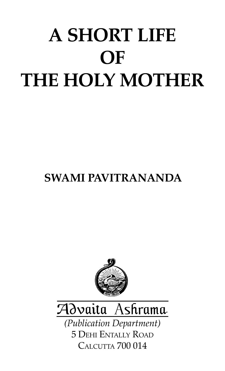# A SHORT LIFE **OF** THE HOLY MOTHER

# SWAMI PAVITRANANDA





(Publication Department) 5 DEHI ENTALLY ROAD CALCUTTA 700 014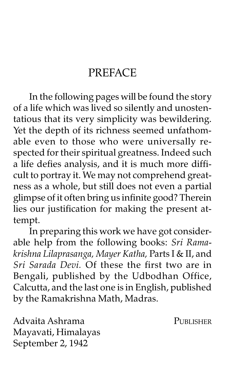## **PREFACE**

In the following pages will be found the story of a life which was lived so silently and unostentatious that its very simplicity was bewildering. Yet the depth of its richness seemed unfathomable even to those who were universally respected for their spiritual greatness. Indeed such a life defies analysis, and it is much more difficult to portray it. We may not comprehend greatness as a whole, but still does not even a partial glimpse of it often bring us infinite good? Therein lies our justification for making the present attempt.

In preparing this work we have got considerable help from the following books: Sri Ramakrishna Lilaprasanga, Mayer Katha, Parts I & II, and Sri Sarada Devi. Of these the first two are in Bengali, published by the Udbodhan Office, Calcutta, and the last one is in English, published by the Ramakrishna Math, Madras.

Advaita Ashrama PUBLISHER Mayavati, Himalayas September 2, 1942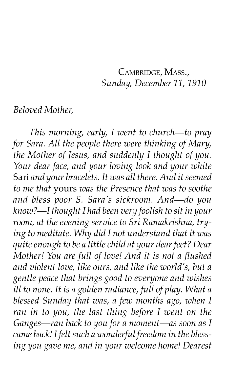#### CAMBRIDGE, MASS., Sunday, December 11, 1910

#### Beloved Mother,

This morning, early, I went to church—to pray for Sara. All the people there were thinking of Mary, the Mother of Jesus, and suddenly I thought of you. Your dear face, and your loving look and your white Sari and your bracelets. It was all there. And it seemed to me that yours was the Presence that was to soothe and bless poor S. Sara's sickroom. And-do you know?—I thought I had been very foolish to sit in your room, at the evening service to Sri Ramakrishna, trying to meditate. Why did I not understand that it was quite enough to be a little child at your dear feet? Dear Mother! You are full of love! And it is not a flushed and violent love, like ours, and like the world's, but a gentle peace that brings good to everyone and wishes ill to none. It is a golden radiance, full of play. What a blessed Sunday that was, a few months ago, when I ran in to you, the last thing before I went on the Ganges—ran back to you for a moment—as soon as I came back! I felt such a wonderful freedom in the blessing you gave me, and in your welcome home! Dearest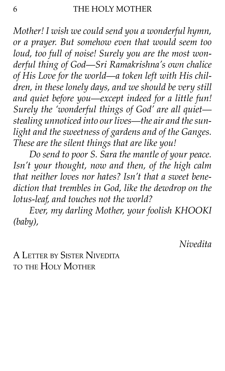Mother! I wish we could send you a wonderful hymn, or a prayer. But somehow even that would seem too loud, too full of noise! Surely you are the most wonderful thing of God-Sri Ramakrishna's own chalice of His Love for the world—a token left with His children, in these lonely days, and we should be very still and quiet before you—except indeed for a little fun! Surely the 'wonderful things of God' are all quietstealing unnoticed into our lives—the air and the sunlight and the sweetness of gardens and of the Ganges. These are the silent things that are like you!

Do send to poor S. Sara the mantle of your peace. Isnít your thought, now and then, of the high calm that neither loves nor hates? Isn't that a sweet benediction that trembles in God, like the dewdrop on the lotus-leaf, and touches not the world?

Ever, my darling Mother, your foolish KHOOKI (baby),

Nivedita

A LETTER BY SISTER NIVEDITA TO THE HOLY MOTHER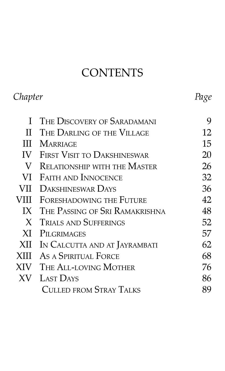# **CONTENTS**

| Chapter     |                                       | Page |
|-------------|---------------------------------------|------|
| L           | The Discovery of Saradamani           | 9    |
| П           | THE DARLING OF THE VILLAGE            | 12   |
| Ш           | <b>MARRIAGE</b>                       | 15   |
|             | <b>IV FIRST VISIT TO DAKSHINESWAR</b> | 20   |
| V           | . Relationship with the Master        | 26   |
|             | VI FAITH AND INNOCENCE                | 32   |
| VII         | <b>DAKSHINESWAR DAYS</b>              | 36   |
| VIII        | FORESHADOWING THE FUTURE              | 42   |
|             | IX THE PASSING OF SRI RAMAKRISHNA     | 48   |
| X           | <b>TRIALS AND SUFFERINGS</b>          | 52   |
| XI          | <b>PILGRIMAGES</b>                    | 57   |
| XII         | IN CALCUTTA AND AT JAYRAMBATI         | 62   |
| <b>XIII</b> | AS A SPIRITUAL FORCE                  | 68   |
| XIV —       | THE ALL-LOVING MOTHER                 | 76   |
| XV —        | <b>LAST DAYS</b>                      | 86   |
|             | <b>CULLED FROM STRAY TALKS</b>        | 89   |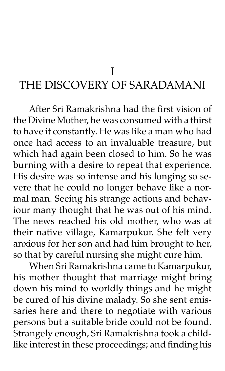I

# THE DISCOVERY OF SARADAMANI

After Sri Ramakrishna had the first vision of the Divine Mother, he was consumed with a thirst to have it constantly. He was like a man who had once had access to an invaluable treasure, but which had again been closed to him. So he was burning with a desire to repeat that experience. His desire was so intense and his longing so severe that he could no longer behave like a normal man. Seeing his strange actions and behaviour many thought that he was out of his mind. The news reached his old mother, who was at their native village, Kamarpukur. She felt very anxious for her son and had him brought to her, so that by careful nursing she might cure him.

When Sri Ramakrishna came to Kamarpukur, his mother thought that marriage might bring down his mind to worldly things and he might be cured of his divine malady. So she sent emissaries here and there to negotiate with various persons but a suitable bride could not be found. Strangely enough, Sri Ramakrishna took a childlike interest in these proceedings; and finding his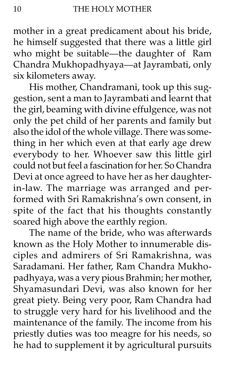mother in a great predicament about his bride, he himself suggested that there was a little girl who might be suitable-the daughter of Ram Chandra Mukhopadhyaya-at Jayrambati, only six kilometers away.

His mother, Chandramani, took up this suggestion, sent a man to Jayrambati and learnt that the girl, beaming with divine effulgence, was not only the pet child of her parents and family but also the idol of the whole village. There was something in her which even at that early age drew everybody to her. Whoever saw this little girl could not but feel a fascination for her. So Chandra Devi at once agreed to have her as her daughterin-law. The marriage was arranged and performed with Sri Ramakrishnaís own consent, in spite of the fact that his thoughts constantly soared high above the earthly region.

The name of the bride, who was afterwards known as the Holy Mother to innumerable disciples and admirers of Sri Ramakrishna, was Saradamani. Her father, Ram Chandra Mukhopadhyaya, was a very pious Brahmin; her mother, Shyamasundari Devi, was also known for her great piety. Being very poor, Ram Chandra had to struggle very hard for his livelihood and the maintenance of the family. The income from his priestly duties was too meagre for his needs, so he had to supplement it by agricultural pursuits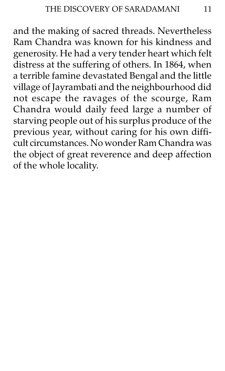and the making of sacred threads. Nevertheless Ram Chandra was known for his kindness and generosity. He had a very tender heart which felt distress at the suffering of others. In 1864, when a terrible famine devastated Bengal and the little village of Jayrambati and the neighbourhood did not escape the ravages of the scourge, Ram Chandra would daily feed large a number of starving people out of his surplus produce of the previous year, without caring for his own difficult circumstances. No wonder Ram Chandra was the object of great reverence and deep affection of the whole locality.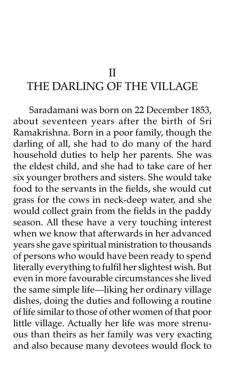#### II

### THE DARLING OF THE VILLAGE

Saradamani was born on 22 December 1853, about seventeen years after the birth of Sri Ramakrishna. Born in a poor family, though the darling of all, she had to do many of the hard household duties to help her parents. She was the eldest child, and she had to take care of her six younger brothers and sisters. She would take food to the servants in the fields, she would cut grass for the cows in neck-deep water, and she would collect grain from the fields in the paddy season. All these have a very touching interest when we know that afterwards in her advanced years she gave spiritual ministration to thousands of persons who would have been ready to spend literally everything to fulfil her slightest wish. But even in more favourable circumstances she lived the same simple life-liking her ordinary village dishes, doing the duties and following a routine of life similar to those of other women of that poor little village. Actually her life was more strenuous than theirs as her family was very exacting and also because many devotees would flock to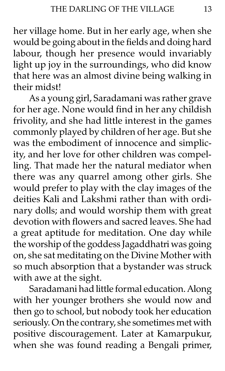her village home. But in her early age, when she would be going about in the fields and doing hard labour, though her presence would invariably light up joy in the surroundings, who did know that here was an almost divine being walking in their midst!

As a young girl, Saradamani was rather grave for her age. None would find in her any childish frivolity, and she had little interest in the games commonly played by children of her age. But she was the embodiment of innocence and simplicity, and her love for other children was compelling. That made her the natural mediator when there was any quarrel among other girls. She would prefer to play with the clay images of the deities Kali and Lakshmi rather than with ordinary dolls; and would worship them with great devotion with flowers and sacred leaves. She had a great aptitude for meditation. One day while the worship of the goddess Jagaddhatri was going on, she sat meditating on the Divine Mother with so much absorption that a bystander was struck with awe at the sight.

Saradamani had little formal education. Along with her younger brothers she would now and then go to school, but nobody took her education seriously. On the contrary, she sometimes met with positive discouragement. Later at Kamarpukur, when she was found reading a Bengali primer,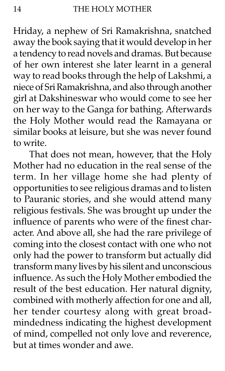Hriday, a nephew of Sri Ramakrishna, snatched away the book saying that it would develop in her a tendency to read novels and dramas. But because of her own interest she later learnt in a general way to read books through the help of Lakshmi, a niece of Sri Ramakrishna, and also through another girl at Dakshineswar who would come to see her on her way to the Ganga for bathing. Afterwards the Holy Mother would read the Ramayana or similar books at leisure, but she was never found to write.

That does not mean, however, that the Holy Mother had no education in the real sense of the term. In her village home she had plenty of opportunities to see religious dramas and to listen to Pauranic stories, and she would attend many religious festivals. She was brought up under the influence of parents who were of the finest character. And above all, she had the rare privilege of coming into the closest contact with one who not only had the power to transform but actually did transform many lives by his silent and unconscious influence. As such the Holy Mother embodied the result of the best education. Her natural dignity, combined with motherly affection for one and all, her tender courtesy along with great broadmindedness indicating the highest development of mind, compelled not only love and reverence, but at times wonder and awe.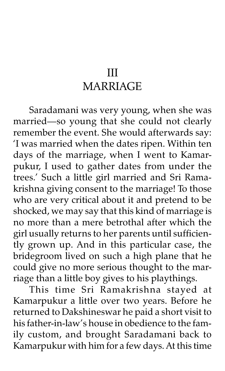# III MARRIAGE

Saradamani was very young, when she was married-so young that she could not clearly remember the event. She would afterwards say: ëI was married when the dates ripen. Within ten days of the marriage, when I went to Kamarpukur, I used to gather dates from under the trees.' Such a little girl married and Sri Ramakrishna giving consent to the marriage! To those who are very critical about it and pretend to be shocked, we may say that this kind of marriage is no more than a mere betrothal after which the girl usually returns to her parents until sufficiently grown up. And in this particular case, the bridegroom lived on such a high plane that he could give no more serious thought to the marriage than a little boy gives to his playthings.

This time Sri Ramakrishna stayed at Kamarpukur a little over two years. Before he returned to Dakshineswar he paid a short visit to his father-in-law's house in obedience to the family custom, and brought Saradamani back to Kamarpukur with him for a few days. At this time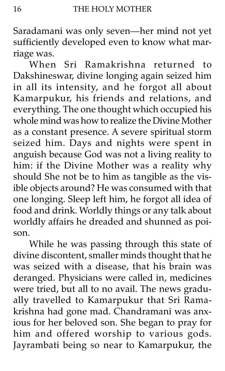Saradamani was only seven-her mind not yet sufficiently developed even to know what marriage was.

When Sri Ramakrishna returned to Dakshineswar, divine longing again seized him in all its intensity, and he forgot all about Kamarpukur, his friends and relations, and everything. The one thought which occupied his whole mind was how to realize the Divine Mother as a constant presence. A severe spiritual storm seized him. Days and nights were spent in anguish because God was not a living reality to him: if the Divine Mother was a reality why should She not be to him as tangible as the visible objects around? He was consumed with that one longing. Sleep left him, he forgot all idea of food and drink. Worldly things or any talk about worldly affairs he dreaded and shunned as poison.

While he was passing through this state of divine discontent, smaller minds thought that he was seized with a disease, that his brain was deranged. Physicians were called in, medicines were tried, but all to no avail. The news gradually travelled to Kamarpukur that Sri Ramakrishna had gone mad. Chandramani was anxious for her beloved son. She began to pray for him and offered worship to various gods. Jayrambati being so near to Kamarpukur, the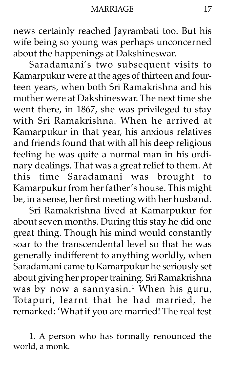news certainly reached Jayrambati too. But his wife being so young was perhaps unconcerned about the happenings at Dakshineswar.

Saradamani's two subsequent visits to Kamarpukur were at the ages of thirteen and fourteen years, when both Sri Ramakrishna and his mother were at Dakshineswar. The next time she went there, in 1867, she was privileged to stay with Sri Ramakrishna. When he arrived at Kamarpukur in that year, his anxious relatives and friends found that with all his deep religious feeling he was quite a normal man in his ordinary dealings. That was a great relief to them. At this time Saradamani was brought to Kamarpukur from her father's house. This might be, in a sense, her first meeting with her husband.

Sri Ramakrishna lived at Kamarpukur for about seven months. During this stay he did one great thing. Though his mind would constantly soar to the transcendental level so that he was generally indifferent to anything worldly, when Saradamani came to Kamarpukur he seriously set about giving her proper training. Sri Ramakrishna was by now a sannyasin.<sup>1</sup> When his guru, Totapuri, learnt that he had married, he remarked: 'What if you are married! The real test

<sup>1.</sup> A person who has formally renounced the world, a monk.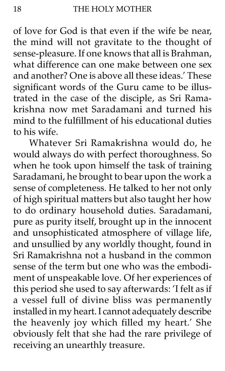of love for God is that even if the wife be near, the mind will not gravitate to the thought of sense-pleasure. If one knows that all is Brahman, what difference can one make between one sex and another? One is above all these ideas.' These significant words of the Guru came to be illustrated in the case of the disciple, as Sri Ramakrishna now met Saradamani and turned his mind to the fulfillment of his educational duties to his wife.

Whatever Sri Ramakrishna would do, he would always do with perfect thoroughness. So when he took upon himself the task of training Saradamani, he brought to bear upon the work a sense of completeness. He talked to her not only of high spiritual matters but also taught her how to do ordinary household duties. Saradamani, pure as purity itself, brought up in the innocent and unsophisticated atmosphere of village life, and unsullied by any worldly thought, found in Sri Ramakrishna not a husband in the common sense of the term but one who was the embodiment of unspeakable love. Of her experiences of this period she used to say afterwards: 'I felt as if a vessel full of divine bliss was permanently installed in my heart. I cannot adequately describe the heavenly joy which filled my heart.' She obviously felt that she had the rare privilege of receiving an unearthly treasure.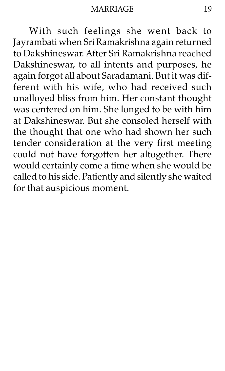With such feelings she went back to Jayrambati when Sri Ramakrishna again returned to Dakshineswar. After Sri Ramakrishna reached Dakshineswar, to all intents and purposes, he again forgot all about Saradamani. But it was different with his wife, who had received such unalloyed bliss from him. Her constant thought was centered on him. She longed to be with him at Dakshineswar. But she consoled herself with the thought that one who had shown her such tender consideration at the very first meeting could not have forgotten her altogether. There would certainly come a time when she would be called to his side. Patiently and silently she waited for that auspicious moment.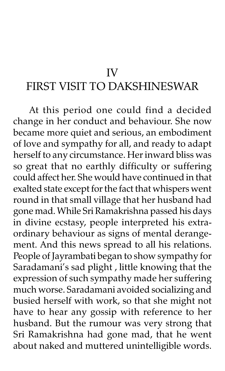#### IV

# FIRST VISIT TO DAKSHINESWAR

At this period one could find a decided change in her conduct and behaviour. She now became more quiet and serious, an embodiment of love and sympathy for all, and ready to adapt herself to any circumstance. Her inward bliss was so great that no earthly difficulty or suffering could affect her. She would have continued in that exalted state except for the fact that whispers went round in that small village that her husband had gone mad. While Sri Ramakrishna passed his days in divine ecstasy, people interpreted his extraordinary behaviour as signs of mental derangement. And this news spread to all his relations. People of Jayrambati began to show sympathy for Saradamani's sad plight, little knowing that the expression of such sympathy made her suffering much worse. Saradamani avoided socializing and busied herself with work, so that she might not have to hear any gossip with reference to her husband. But the rumour was very strong that Sri Ramakrishna had gone mad, that he went about naked and muttered unintelligible words.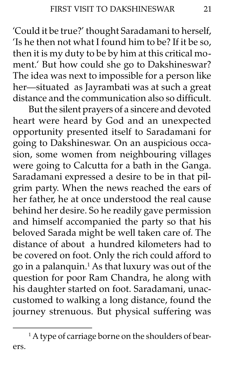'Could it be true?' thought Saradamani to herself, 'Is he then not what I found him to be? If it be so, then it is my duty to be by him at this critical moment.' But how could she go to Dakshineswar? The idea was next to impossible for a person like her-situated as Jayrambati was at such a great distance and the communication also so difficult.

But the silent prayers of a sincere and devoted heart were heard by God and an unexpected opportunity presented itself to Saradamani for going to Dakshineswar. On an auspicious occasion, some women from neighbouring villages were going to Calcutta for a bath in the Ganga. Saradamani expressed a desire to be in that pilgrim party. When the news reached the ears of her father, he at once understood the real cause behind her desire. So he readily gave permission and himself accompanied the party so that his beloved Sarada might be well taken care of. The distance of about a hundred kilometers had to be covered on foot. Only the rich could afford to go in a palanquin.<sup>1</sup> As that luxury was out of the question for poor Ram Chandra, he along with his daughter started on foot. Saradamani, unaccustomed to walking a long distance, found the journey strenuous. But physical suffering was

<sup>&</sup>lt;sup>1</sup> A type of carriage borne on the shoulders of bearers.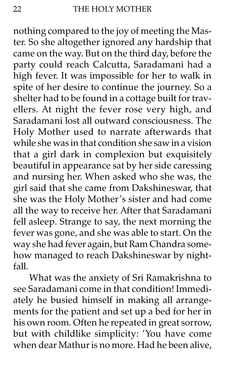nothing compared to the joy of meeting the Master. So she altogether ignored any hardship that came on the way. But on the third day, before the party could reach Calcutta, Saradamani had a high fever. It was impossible for her to walk in spite of her desire to continue the journey. So a shelter had to be found in a cottage built for travellers. At night the fever rose very high, and Saradamani lost all outward consciousness. The Holy Mother used to narrate afterwards that while she was in that condition she saw in a vision that a girl dark in complexion but exquisitely beautiful in appearance sat by her side caressing and nursing her. When asked who she was, the girl said that she came from Dakshineswar, that she was the Holy Mother's sister and had come all the way to receive her. After that Saradamani fell asleep. Strange to say, the next morning the fever was gone, and she was able to start. On the way she had fever again, but Ram Chandra somehow managed to reach Dakshineswar by nightfall.

What was the anxiety of Sri Ramakrishna to see Saradamani come in that condition! Immediately he busied himself in making all arrangements for the patient and set up a bed for her in his own room. Often he repeated in great sorrow, but with childlike simplicity: 'You have come when dear Mathur is no more. Had he been alive,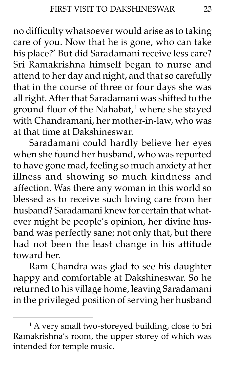no difficulty whatsoever would arise as to taking care of you. Now that he is gone, who can take his place?' But did Saradamani receive less care? Sri Ramakrishna himself began to nurse and attend to her day and night, and that so carefully that in the course of three or four days she was all right. After that Saradamani was shifted to the ground floor of the Nahabat,<sup>1</sup> where she stayed with Chandramani, her mother-in-law, who was at that time at Dakshineswar.

Saradamani could hardly believe her eyes when she found her husband, who was reported to have gone mad, feeling so much anxiety at her illness and showing so much kindness and affection. Was there any woman in this world so blessed as to receive such loving care from her husband? Saradamani knew for certain that whatever might be people's opinion, her divine husband was perfectly sane; not only that, but there had not been the least change in his attitude toward her.

Ram Chandra was glad to see his daughter happy and comfortable at Dakshineswar. So he returned to his village home, leaving Saradamani in the privileged position of serving her husband

<sup>1</sup> A very small two-storeyed building, close to Sri Ramakrishnaís room, the upper storey of which was intended for temple music.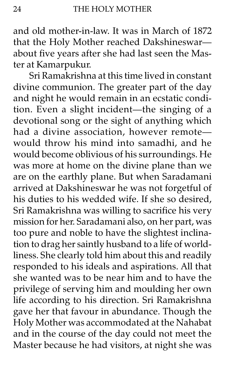and old mother-in-law. It was in March of 1872 that the Holy Mother reached Dakshineswarabout five years after she had last seen the Master at Kamarpukur.

Sri Ramakrishna at this time lived in constant divine communion. The greater part of the day and night he would remain in an ecstatic condition. Even a slight incident-the singing of a devotional song or the sight of anything which had a divine association, however remote would throw his mind into samadhi, and he would become oblivious of his surroundings. He was more at home on the divine plane than we are on the earthly plane. But when Saradamani arrived at Dakshineswar he was not forgetful of his duties to his wedded wife. If she so desired, Sri Ramakrishna was willing to sacrifice his very mission for her. Saradamani also, on her part, was too pure and noble to have the slightest inclination to drag her saintly husband to a life of worldliness. She clearly told him about this and readily responded to his ideals and aspirations. All that she wanted was to be near him and to have the privilege of serving him and moulding her own life according to his direction. Sri Ramakrishna gave her that favour in abundance. Though the Holy Mother was accommodated at the Nahabat and in the course of the day could not meet the Master because he had visitors, at night she was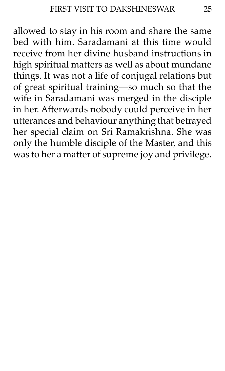allowed to stay in his room and share the same bed with him. Saradamani at this time would receive from her divine husband instructions in high spiritual matters as well as about mundane things. It was not a life of conjugal relations but of great spiritual training-so much so that the wife in Saradamani was merged in the disciple in her. Afterwards nobody could perceive in her utterances and behaviour anything that betrayed her special claim on Sri Ramakrishna. She was only the humble disciple of the Master, and this was to her a matter of supreme joy and privilege.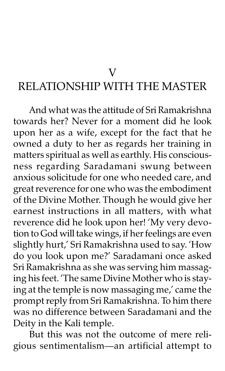V

## RELATIONSHIP WITH THE MASTER

And what was the attitude of Sri Ramakrishna towards her? Never for a moment did he look upon her as a wife, except for the fact that he owned a duty to her as regards her training in matters spiritual as well as earthly. His consciousness regarding Saradamani swung between anxious solicitude for one who needed care, and great reverence for one who was the embodiment of the Divine Mother. Though he would give her earnest instructions in all matters, with what reverence did he look upon her! 'My very devotion to God will take wings, if her feelings are even slightly hurt,' Sri Ramakrishna used to say. 'How do you look upon me?' Saradamani once asked Sri Ramakrishna as she was serving him massaging his feet. 'The same Divine Mother who is staying at the temple is now massaging me,' came the prompt reply from Sri Ramakrishna. To him there was no difference between Saradamani and the Deity in the Kali temple.

But this was not the outcome of mere religious sentimentalism-an artificial attempt to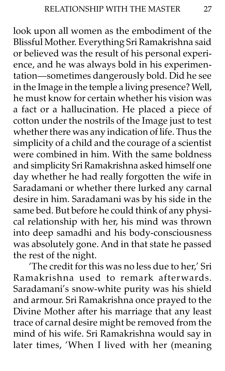look upon all women as the embodiment of the Blissful Mother. Everything Sri Ramakrishna said or believed was the result of his personal experience, and he was always bold in his experimentation-sometimes dangerously bold. Did he see in the Image in the temple a living presence? Well, he must know for certain whether his vision was a fact or a hallucination. He placed a piece of cotton under the nostrils of the Image just to test whether there was any indication of life. Thus the simplicity of a child and the courage of a scientist were combined in him. With the same boldness and simplicity Sri Ramakrishna asked himself one day whether he had really forgotten the wife in Saradamani or whether there lurked any carnal desire in him. Saradamani was by his side in the same bed. But before he could think of any physical relationship with her, his mind was thrown into deep samadhi and his body-consciousness was absolutely gone. And in that state he passed the rest of the night.

'The credit for this was no less due to her,' Sri Ramakrishna used to remark afterwards. Saradamani's snow-white purity was his shield and armour. Sri Ramakrishna once prayed to the Divine Mother after his marriage that any least trace of carnal desire might be removed from the mind of his wife. Sri Ramakrishna would say in later times, 'When I lived with her (meaning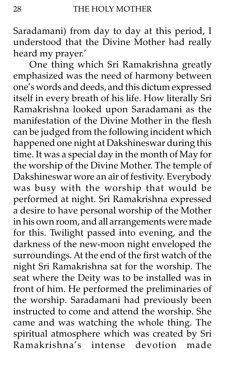Saradamani) from day to day at this period, I understood that the Divine Mother had really heard my prayer.'

One thing which Sri Ramakrishna greatly emphasized was the need of harmony between one's words and deeds, and this dictum expressed itself in every breath of his life. How literally Sri Ramakrishna looked upon Saradamani as the manifestation of the Divine Mother in the flesh can be judged from the following incident which happened one night at Dakshineswar during this time. It was a special day in the month of May for the worship of the Divine Mother. The temple of Dakshineswar wore an air of festivity. Everybody was busy with the worship that would be performed at night. Sri Ramakrishna expressed a desire to have personal worship of the Mother in his own room, and all arrangements were made for this. Twilight passed into evening, and the darkness of the new-moon night enveloped the surroundings. At the end of the first watch of the night Sri Ramakrishna sat for the worship. The seat where the Deity was to be installed was in front of him. He performed the preliminaries of the worship. Saradamani had previously been instructed to come and attend the worship. She came and was watching the whole thing. The spiritual atmosphere which was created by Sri Ramakrishnaís intense devotion made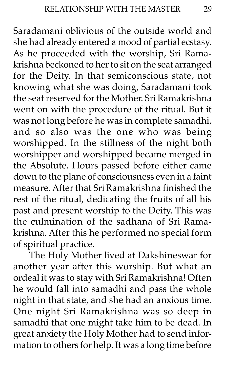Saradamani oblivious of the outside world and she had already entered a mood of partial ecstasy. As he proceeded with the worship, Sri Ramakrishna beckoned to her to sit on the seat arranged for the Deity. In that semiconscious state, not knowing what she was doing, Saradamani took the seat reserved for the Mother. Sri Ramakrishna went on with the procedure of the ritual. But it was not long before he was in complete samadhi, and so also was the one who was being worshipped. In the stillness of the night both worshipper and worshipped became merged in the Absolute. Hours passed before either came down to the plane of consciousness even in a faint measure. After that Sri Ramakrishna finished the rest of the ritual, dedicating the fruits of all his past and present worship to the Deity. This was the culmination of the sadhana of Sri Ramakrishna. After this he performed no special form of spiritual practice.

The Holy Mother lived at Dakshineswar for another year after this worship. But what an ordeal it was to stay with Sri Ramakrishna! Often he would fall into samadhi and pass the whole night in that state, and she had an anxious time. One night Sri Ramakrishna was so deep in samadhi that one might take him to be dead. In great anxiety the Holy Mother had to send information to others for help. It was a long time before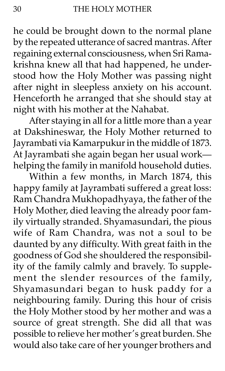he could be brought down to the normal plane by the repeated utterance of sacred mantras. After regaining external consciousness, when Sri Ramakrishna knew all that had happened, he understood how the Holy Mother was passing night after night in sleepless anxiety on his account. Henceforth he arranged that she should stay at night with his mother at the Nahabat.

After staying in all for a little more than a year at Dakshineswar, the Holy Mother returned to Jayrambati via Kamarpukur in the middle of 1873. At Jayrambati she again began her usual workhelping the family in manifold household duties.

Within a few months, in March 1874, this happy family at Jayrambati suffered a great loss: Ram Chandra Mukhopadhyaya, the father of the Holy Mother, died leaving the already poor family virtually stranded. Shyamasundari, the pious wife of Ram Chandra, was not a soul to be daunted by any difficulty. With great faith in the goodness of God she shouldered the responsibility of the family calmly and bravely. To supplement the slender resources of the family, Shyamasundari began to husk paddy for a neighbouring family. During this hour of crisis the Holy Mother stood by her mother and was a source of great strength. She did all that was possible to relieve her mother's great burden. She would also take care of her younger brothers and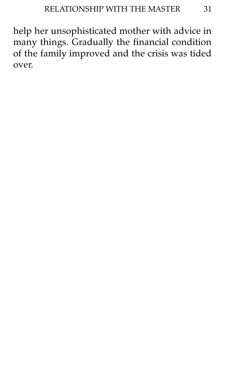help her unsophisticated mother with advice in many things. Gradually the financial condition of the family improved and the crisis was tided over.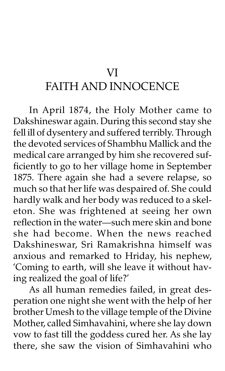# VI

# FAITH AND INNOCENCE

In April 1874, the Holy Mother came to Dakshineswar again. During this second stay she fell ill of dysentery and suffered terribly. Through the devoted services of Shambhu Mallick and the medical care arranged by him she recovered sufficiently to go to her village home in September 1875. There again she had a severe relapse, so much so that her life was despaired of. She could hardly walk and her body was reduced to a skeleton. She was frightened at seeing her own reflection in the water—such mere skin and bone she had become. When the news reached Dakshineswar, Sri Ramakrishna himself was anxious and remarked to Hriday, his nephew, 'Coming to earth, will she leave it without having realized the goal of life?'

As all human remedies failed, in great desperation one night she went with the help of her brother Umesh to the village temple of the Divine Mother, called Simhavahini, where she lay down vow to fast till the goddess cured her. As she lay there, she saw the vision of Simhavahini who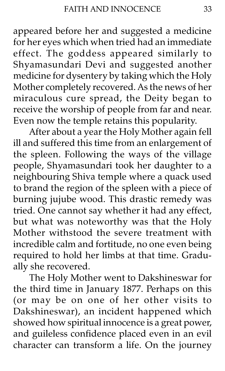appeared before her and suggested a medicine for her eyes which when tried had an immediate effect. The goddess appeared similarly to Shyamasundari Devi and suggested another medicine for dysentery by taking which the Holy Mother completely recovered. As the news of her miraculous cure spread, the Deity began to receive the worship of people from far and near. Even now the temple retains this popularity.

After about a year the Holy Mother again fell ill and suffered this time from an enlargement of the spleen. Following the ways of the village people, Shyamasundari took her daughter to a neighbouring Shiva temple where a quack used to brand the region of the spleen with a piece of burning jujube wood. This drastic remedy was tried. One cannot say whether it had any effect, but what was noteworthy was that the Holy Mother withstood the severe treatment with incredible calm and fortitude, no one even being required to hold her limbs at that time. Gradually she recovered.

The Holy Mother went to Dakshineswar for the third time in January 1877. Perhaps on this (or may be on one of her other visits to Dakshineswar), an incident happened which showed how spiritual innocence is a great power, and guileless confidence placed even in an evil character can transform a life. On the journey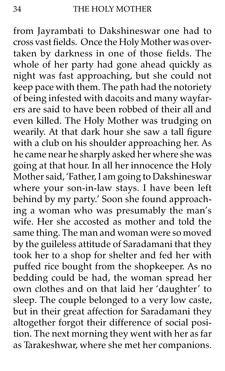from Jayrambati to Dakshineswar one had to cross vast fields. Once the Holy Mother was overtaken by darkness in one of those fields. The whole of her party had gone ahead quickly as night was fast approaching, but she could not keep pace with them. The path had the notoriety of being infested with dacoits and many wayfarers are said to have been robbed of their all and even killed. The Holy Mother was trudging on wearily. At that dark hour she saw a tall figure with a club on his shoulder approaching her. As he came near he sharply asked her where she was going at that hour. In all her innocence the Holy Mother said, 'Father, I am going to Dakshineswar where your son-in-law stays. I have been left behind by my party.' Soon she found approaching a woman who was presumably the man's wife. Her she accosted as mother and told the same thing. The man and woman were so moved by the guileless attitude of Saradamani that they took her to a shop for shelter and fed her with puffed rice bought from the shopkeeper. As no bedding could be had, the woman spread her own clothes and on that laid her 'daughter' to sleep. The couple belonged to a very low caste, but in their great affection for Saradamani they altogether forgot their difference of social position. The next morning they went with her as far as Tarakeshwar, where she met her companions.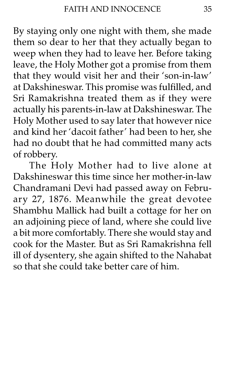By staying only one night with them, she made them so dear to her that they actually began to weep when they had to leave her. Before taking leave, the Holy Mother got a promise from them that they would visit her and their 'son-in-law' at Dakshineswar. This promise was fulfilled, and Sri Ramakrishna treated them as if they were actually his parents-in-law at Dakshineswar. The Holy Mother used to say later that however nice and kind her 'dacoit father' had been to her, she had no doubt that he had committed many acts of robbery.

The Holy Mother had to live alone at Dakshineswar this time since her mother-in-law Chandramani Devi had passed away on February 27, 1876. Meanwhile the great devotee Shambhu Mallick had built a cottage for her on an adjoining piece of land, where she could live a bit more comfortably. There she would stay and cook for the Master. But as Sri Ramakrishna fell ill of dysentery, she again shifted to the Nahabat so that she could take better care of him.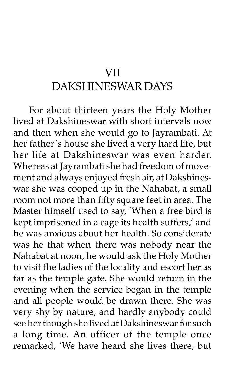## VII DAKSHINESWAR DAYS

For about thirteen years the Holy Mother lived at Dakshineswar with short intervals now and then when she would go to Jayrambati. At her father's house she lived a very hard life, but her life at Dakshineswar was even harder. Whereas at Jayrambati she had freedom of movement and always enjoyed fresh air, at Dakshineswar she was cooped up in the Nahabat, a small room not more than fifty square feet in area. The Master himself used to say, 'When a free bird is kept imprisoned in a cage its health suffers,' and he was anxious about her health. So considerate was he that when there was nobody near the Nahabat at noon, he would ask the Holy Mother to visit the ladies of the locality and escort her as far as the temple gate. She would return in the evening when the service began in the temple and all people would be drawn there. She was very shy by nature, and hardly anybody could see her though she lived at Dakshineswar for such a long time. An officer of the temple once remarked, 'We have heard she lives there, but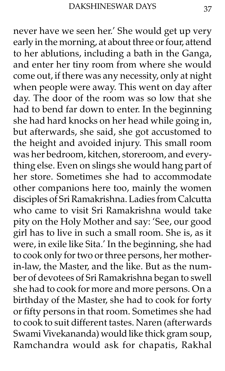never have we seen her.' She would get up very early in the morning, at about three or four, attend to her ablutions, including a bath in the Ganga, and enter her tiny room from where she would come out, if there was any necessity, only at night when people were away. This went on day after day. The door of the room was so low that she had to bend far down to enter. In the beginning she had hard knocks on her head while going in, but afterwards, she said, she got accustomed to the height and avoided injury. This small room was her bedroom, kitchen, storeroom, and everything else. Even on slings she would hang part of her store. Sometimes she had to accommodate other companions here too, mainly the women disciples of Sri Ramakrishna. Ladies from Calcutta who came to visit Sri Ramakrishna would take pity on the Holy Mother and say: 'See, our good girl has to live in such a small room. She is, as it were, in exile like Sita.' In the beginning, she had to cook only for two or three persons, her motherin-law, the Master, and the like. But as the number of devotees of Sri Ramakrishna began to swell she had to cook for more and more persons. On a birthday of the Master, she had to cook for forty or fifty persons in that room. Sometimes she had to cook to suit different tastes. Naren (afterwards Swami Vivekananda) would like thick gram soup, Ramchandra would ask for chapatis, Rakhal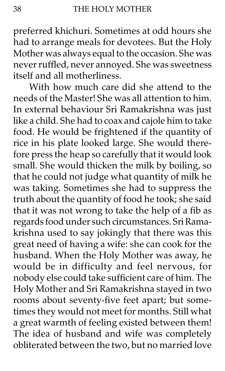preferred khichuri. Sometimes at odd hours she had to arrange meals for devotees. But the Holy Mother was always equal to the occasion. She was never ruffled, never annoyed. She was sweetness itself and all motherliness.

With how much care did she attend to the needs of the Master! She was all attention to him. In external behaviour Sri Ramakrishna was just like a child. She had to coax and cajole him to take food. He would be frightened if the quantity of rice in his plate looked large. She would therefore press the heap so carefully that it would look small. She would thicken the milk by boiling, so that he could not judge what quantity of milk he was taking. Sometimes she had to suppress the truth about the quantity of food he took; she said that it was not wrong to take the help of a fib as regards food under such circumstances. Sri Ramakrishna used to say jokingly that there was this great need of having a wife: she can cook for the husband. When the Holy Mother was away, he would be in difficulty and feel nervous, for nobody else could take sufficient care of him. The Holy Mother and Sri Ramakrishna stayed in two rooms about seventy-five feet apart; but sometimes they would not meet for months. Still what a great warmth of feeling existed between them! The idea of husband and wife was completely obliterated between the two, but no married love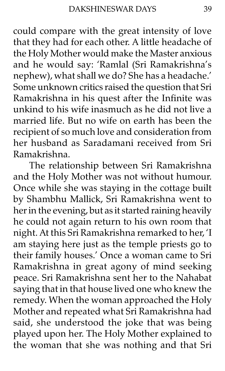could compare with the great intensity of love that they had for each other. A little headache of the Holy Mother would make the Master anxious and he would say: 'Ramlal (Sri Ramakrishna's nephew), what shall we do? She has a headache.' Some unknown critics raised the question that Sri Ramakrishna in his quest after the Infinite was unkind to his wife inasmuch as he did not live a married life. But no wife on earth has been the recipient of so much love and consideration from her husband as Saradamani received from Sri Ramakrishna.

The relationship between Sri Ramakrishna and the Holy Mother was not without humour. Once while she was staying in the cottage built by Shambhu Mallick, Sri Ramakrishna went to her in the evening, but as it started raining heavily he could not again return to his own room that night. At this Sri Ramakrishna remarked to her, 'I am staying here just as the temple priests go to their family houses.' Once a woman came to Sri Ramakrishna in great agony of mind seeking peace. Sri Ramakrishna sent her to the Nahabat saying that in that house lived one who knew the remedy. When the woman approached the Holy Mother and repeated what Sri Ramakrishna had said, she understood the joke that was being played upon her. The Holy Mother explained to the woman that she was nothing and that Sri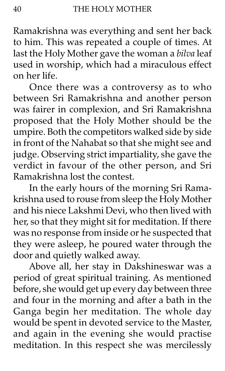Ramakrishna was everything and sent her back to him. This was repeated a couple of times. At last the Holy Mother gave the woman a bilva leaf used in worship, which had a miraculous effect on her life.

Once there was a controversy as to who between Sri Ramakrishna and another person was fairer in complexion, and Sri Ramakrishna proposed that the Holy Mother should be the umpire. Both the competitors walked side by side in front of the Nahabat so that she might see and judge. Observing strict impartiality, she gave the verdict in favour of the other person, and Sri Ramakrishna lost the contest.

In the early hours of the morning Sri Ramakrishna used to rouse from sleep the Holy Mother and his niece Lakshmi Devi, who then lived with her, so that they might sit for meditation. If there was no response from inside or he suspected that they were asleep, he poured water through the door and quietly walked away.

Above all, her stay in Dakshineswar was a period of great spiritual training. As mentioned before, she would get up every day between three and four in the morning and after a bath in the Ganga begin her meditation. The whole day would be spent in devoted service to the Master, and again in the evening she would practise meditation. In this respect she was mercilessly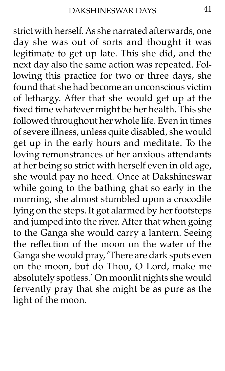strict with herself. As she narrated afterwards, one day she was out of sorts and thought it was legitimate to get up late. This she did, and the next day also the same action was repeated. Following this practice for two or three days, she found that she had become an unconscious victim of lethargy. After that she would get up at the fixed time whatever might be her health. This she followed throughout her whole life. Even in times of severe illness, unless quite disabled, she would get up in the early hours and meditate. To the loving remonstrances of her anxious attendants at her being so strict with herself even in old age, she would pay no heed. Once at Dakshineswar while going to the bathing ghat so early in the morning, she almost stumbled upon a crocodile lying on the steps. It got alarmed by her footsteps and jumped into the river. After that when going to the Ganga she would carry a lantern. Seeing the reflection of the moon on the water of the Ganga she would pray, 'There are dark spots even on the moon, but do Thou, O Lord, make me absolutely spotless.' On moonlit nights she would fervently pray that she might be as pure as the light of the moon.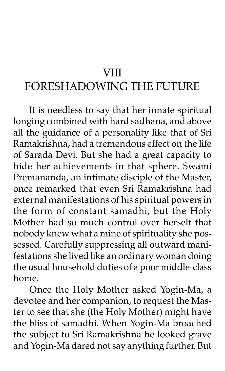#### **VIII**

# FORESHADOWING THE FUTURE

It is needless to say that her innate spiritual longing combined with hard sadhana, and above all the guidance of a personality like that of Sri Ramakrishna, had a tremendous effect on the life of Sarada Devi. But she had a great capacity to hide her achievements in that sphere. Swami Premananda, an intimate disciple of the Master, once remarked that even Sri Ramakrishna had external manifestations of his spiritual powers in the form of constant samadhi, but the Holy Mother had so much control over herself that nobody knew what a mine of spirituality she possessed. Carefully suppressing all outward manifestations she lived like an ordinary woman doing the usual household duties of a poor middle-class home.

Once the Holy Mother asked Yogin-Ma, a devotee and her companion, to request the Master to see that she (the Holy Mother) might have the bliss of samadhi. When Yogin-Ma broached the subject to Sri Ramakrishna he looked grave and Yogin-Ma dared not say anything further. But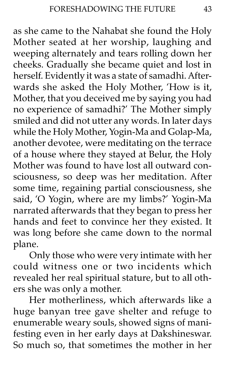as she came to the Nahabat she found the Holy Mother seated at her worship, laughing and weeping alternately and tears rolling down her cheeks. Gradually she became quiet and lost in herself. Evidently it was a state of samadhi. Afterwards she asked the Holy Mother, 'How is it, Mother, that you deceived me by saying you had no experience of samadhi?' The Mother simply smiled and did not utter any words. In later days while the Holy Mother, Yogin-Ma and Golap-Ma, another devotee, were meditating on the terrace of a house where they stayed at Belur, the Holy Mother was found to have lost all outward consciousness, so deep was her meditation. After some time, regaining partial consciousness, she said, 'O Yogin, where are my limbs?' Yogin-Ma narrated afterwards that they began to press her hands and feet to convince her they existed. It was long before she came down to the normal plane.

Only those who were very intimate with her could witness one or two incidents which revealed her real spiritual stature, but to all others she was only a mother.

Her motherliness, which afterwards like a huge banyan tree gave shelter and refuge to enumerable weary souls, showed signs of manifesting even in her early days at Dakshineswar. So much so, that sometimes the mother in her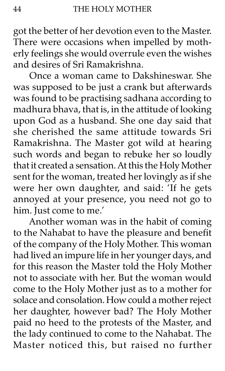got the better of her devotion even to the Master. There were occasions when impelled by motherly feelings she would overrule even the wishes and desires of Sri Ramakrishna.

Once a woman came to Dakshineswar. She was supposed to be just a crank but afterwards was found to be practising sadhana according to madhura bhava, that is, in the attitude of looking upon God as a husband. She one day said that she cherished the same attitude towards Sri Ramakrishna. The Master got wild at hearing such words and began to rebuke her so loudly that it created a sensation. At this the Holy Mother sent for the woman, treated her lovingly as if she were her own daughter, and said: 'If he gets annoyed at your presence, you need not go to him. Just come to me.'

Another woman was in the habit of coming to the Nahabat to have the pleasure and benefit of the company of the Holy Mother. This woman had lived an impure life in her younger days, and for this reason the Master told the Holy Mother not to associate with her. But the woman would come to the Holy Mother just as to a mother for solace and consolation. How could a mother reject her daughter, however bad? The Holy Mother paid no heed to the protests of the Master, and the lady continued to come to the Nahabat. The Master noticed this, but raised no further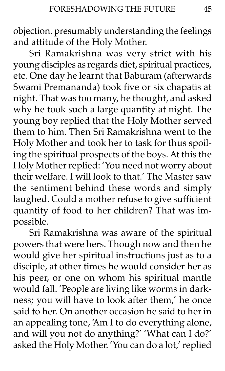objection, presumably understanding the feelings and attitude of the Holy Mother.

Sri Ramakrishna was very strict with his young disciples as regards diet, spiritual practices, etc. One day he learnt that Baburam (afterwards Swami Premananda) took five or six chapatis at night. That was too many, he thought, and asked why he took such a large quantity at night. The young boy replied that the Holy Mother served them to him. Then Sri Ramakrishna went to the Holy Mother and took her to task for thus spoiling the spiritual prospects of the boys. At this the Holy Mother replied: 'You need not worry about their welfare. I will look to that.' The Master saw the sentiment behind these words and simply laughed. Could a mother refuse to give sufficient quantity of food to her children? That was impossible.

Sri Ramakrishna was aware of the spiritual powers that were hers. Though now and then he would give her spiritual instructions just as to a disciple, at other times he would consider her as his peer, or one on whom his spiritual mantle would fall. 'People are living like worms in darkness; you will have to look after them,' he once said to her. On another occasion he said to her in an appealing tone, 'Am I to do everything alone, and will you not do anything?' 'What can I do?' asked the Holy Mother. 'You can do a lot,' replied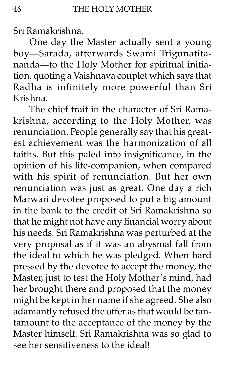Sri Ramakrishna.

One day the Master actually sent a young boy-Sarada, afterwards Swami Trigunatitananda-to the Holy Mother for spiritual initiation, quoting a Vaishnava couplet which says that Radha is infinitely more powerful than Sri Krishna.

The chief trait in the character of Sri Ramakrishna, according to the Holy Mother, was renunciation. People generally say that his greatest achievement was the harmonization of all faiths. But this paled into insignificance, in the opinion of his life-companion, when compared with his spirit of renunciation. But her own renunciation was just as great. One day a rich Marwari devotee proposed to put a big amount in the bank to the credit of Sri Ramakrishna so that he might not have any financial worry about his needs. Sri Ramakrishna was perturbed at the very proposal as if it was an abysmal fall from the ideal to which he was pledged. When hard pressed by the devotee to accept the money, the Master, just to test the Holy Mother's mind, had her brought there and proposed that the money might be kept in her name if she agreed. She also adamantly refused the offer as that would be tantamount to the acceptance of the money by the Master himself. Sri Ramakrishna was so glad to see her sensitiveness to the ideal!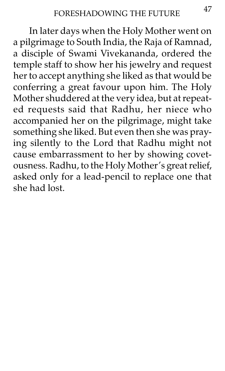In later days when the Holy Mother went on a pilgrimage to South India, the Raja of Ramnad, a disciple of Swami Vivekananda, ordered the temple staff to show her his jewelry and request her to accept anything she liked as that would be conferring a great favour upon him. The Holy Mother shuddered at the very idea, but at repeated requests said that Radhu, her niece who accompanied her on the pilgrimage, might take something she liked. But even then she was praying silently to the Lord that Radhu might not cause embarrassment to her by showing covetousness. Radhu, to the Holy Mother's great relief, asked only for a lead-pencil to replace one that she had lost.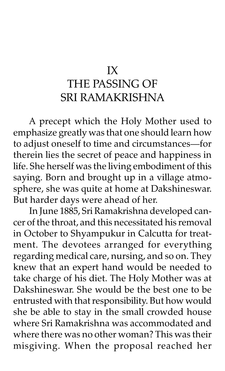# IX THE PASSING OF SRI RAMAKRISHNA

A precept which the Holy Mother used to emphasize greatly was that one should learn how to adjust oneself to time and circumstances-for therein lies the secret of peace and happiness in life. She herself was the living embodiment of this saying. Born and brought up in a village atmosphere, she was quite at home at Dakshineswar. But harder days were ahead of her.

In June 1885, Sri Ramakrishna developed cancer of the throat, and this necessitated his removal in October to Shyampukur in Calcutta for treatment. The devotees arranged for everything regarding medical care, nursing, and so on. They knew that an expert hand would be needed to take charge of his diet. The Holy Mother was at Dakshineswar. She would be the best one to be entrusted with that responsibility. But how would she be able to stay in the small crowded house where Sri Ramakrishna was accommodated and where there was no other woman? This was their misgiving. When the proposal reached her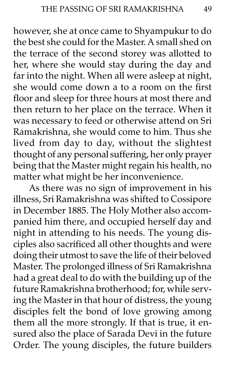however, she at once came to Shyampukur to do the best she could for the Master. A small shed on the terrace of the second storey was allotted to her, where she would stay during the day and far into the night. When all were asleep at night, she would come down a to a room on the first floor and sleep for three hours at most there and then return to her place on the terrace. When it was necessary to feed or otherwise attend on Sri Ramakrishna, she would come to him. Thus she lived from day to day, without the slightest thought of any personal suffering, her only prayer being that the Master might regain his health, no matter what might be her inconvenience.

As there was no sign of improvement in his illness, Sri Ramakrishna was shifted to Cossipore in December 1885. The Holy Mother also accompanied him there, and occupied herself day and night in attending to his needs. The young disciples also sacrificed all other thoughts and were doing their utmost to save the life of their beloved Master. The prolonged illness of Sri Ramakrishna had a great deal to do with the building up of the future Ramakrishna brotherhood; for, while serving the Master in that hour of distress, the young disciples felt the bond of love growing among them all the more strongly. If that is true, it ensured also the place of Sarada Devi in the future Order. The young disciples, the future builders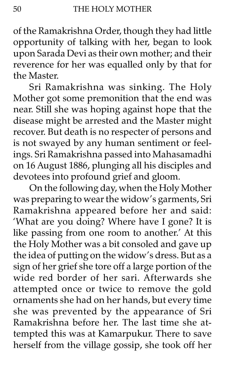of the Ramakrishna Order, though they had little opportunity of talking with her, began to look upon Sarada Devi as their own mother; and their reverence for her was equalled only by that for the Master.

Sri Ramakrishna was sinking. The Holy Mother got some premonition that the end was near. Still she was hoping against hope that the disease might be arrested and the Master might recover. But death is no respecter of persons and is not swayed by any human sentiment or feelings. Sri Ramakrishna passed into Mahasamadhi on 16 August 1886, plunging all his disciples and devotees into profound grief and gloom.

On the following day, when the Holy Mother was preparing to wear the widow's garments, Sri Ramakrishna appeared before her and said: 'What are you doing? Where have I gone? It is like passing from one room to another.' At this the Holy Mother was a bit consoled and gave up the idea of putting on the widow's dress. But as a sign of her grief she tore off a large portion of the wide red border of her sari. Afterwards she attempted once or twice to remove the gold ornaments she had on her hands, but every time she was prevented by the appearance of Sri Ramakrishna before her. The last time she attempted this was at Kamarpukur. There to save herself from the village gossip, she took off her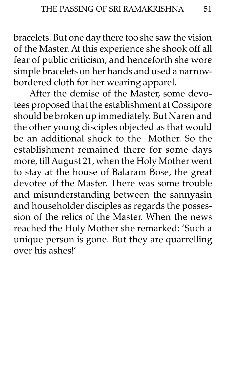bracelets. But one day there too she saw the vision of the Master. At this experience she shook off all fear of public criticism, and henceforth she wore simple bracelets on her hands and used a narrowbordered cloth for her wearing apparel.

After the demise of the Master, some devotees proposed that the establishment at Cossipore should be broken up immediately. But Naren and the other young disciples objected as that would be an additional shock to the Mother. So the establishment remained there for some days more, till August 21, when the Holy Mother went to stay at the house of Balaram Bose, the great devotee of the Master. There was some trouble and misunderstanding between the sannyasin and householder disciples as regards the possession of the relics of the Master. When the news reached the Holy Mother she remarked: 'Such a unique person is gone. But they are quarrelling over his ashes!í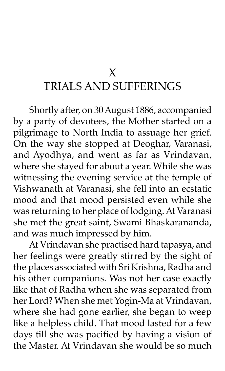### X TRIALS AND SUFFERINGS

Shortly after, on 30 August 1886, accompanied by a party of devotees, the Mother started on a pilgrimage to North India to assuage her grief. On the way she stopped at Deoghar, Varanasi, and Ayodhya, and went as far as Vrindavan, where she stayed for about a year. While she was witnessing the evening service at the temple of Vishwanath at Varanasi, she fell into an ecstatic mood and that mood persisted even while she was returning to her place of lodging. At Varanasi she met the great saint, Swami Bhaskarananda, and was much impressed by him.

At Vrindavan she practised hard tapasya, and her feelings were greatly stirred by the sight of the places associated with Sri Krishna, Radha and his other companions. Was not her case exactly like that of Radha when she was separated from her Lord? When she met Yogin-Ma at Vrindavan, where she had gone earlier, she began to weep like a helpless child. That mood lasted for a few days till she was pacified by having a vision of the Master. At Vrindavan she would be so much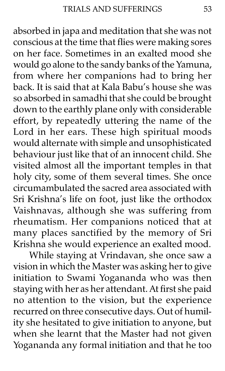absorbed in japa and meditation that she was not conscious at the time that flies were making sores on her face. Sometimes in an exalted mood she would go alone to the sandy banks of the Yamuna, from where her companions had to bring her back. It is said that at Kala Babu's house she was so absorbed in samadhi that she could be brought down to the earthly plane only with considerable effort, by repeatedly uttering the name of the Lord in her ears. These high spiritual moods would alternate with simple and unsophisticated behaviour just like that of an innocent child. She visited almost all the important temples in that holy city, some of them several times. She once circumambulated the sacred area associated with Sri Krishnaís life on foot, just like the orthodox Vaishnavas, although she was suffering from rheumatism. Her companions noticed that at many places sanctified by the memory of Sri Krishna she would experience an exalted mood.

While staying at Vrindavan, she once saw a vision in which the Master was asking her to give initiation to Swami Yogananda who was then staying with her as her attendant. At first she paid no attention to the vision, but the experience recurred on three consecutive days. Out of humility she hesitated to give initiation to anyone, but when she learnt that the Master had not given Yogananda any formal initiation and that he too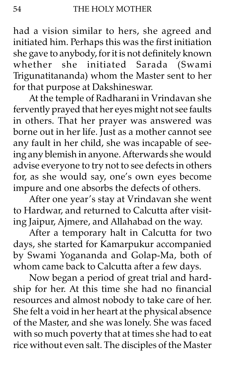had a vision similar to hers, she agreed and initiated him. Perhaps this was the first initiation she gave to anybody, for it is not definitely known whether she initiated Sarada (Swami Trigunatitananda) whom the Master sent to her for that purpose at Dakshineswar.

At the temple of Radharani in Vrindavan she fervently prayed that her eyes might not see faults in others. That her prayer was answered was borne out in her life. Just as a mother cannot see any fault in her child, she was incapable of seeing any blemish in anyone. Afterwards she would advise everyone to try not to see defects in others for, as she would say, one's own eyes become impure and one absorbs the defects of others.

After one year's stay at Vrindavan she went to Hardwar, and returned to Calcutta after visiting Jaipur, Ajmere, and Allahabad on the way.

After a temporary halt in Calcutta for two days, she started for Kamarpukur accompanied by Swami Yogananda and Golap-Ma, both of whom came back to Calcutta after a few days.

Now began a period of great trial and hardship for her. At this time she had no financial resources and almost nobody to take care of her. She felt a void in her heart at the physical absence of the Master, and she was lonely. She was faced with so much poverty that at times she had to eat rice without even salt. The disciples of the Master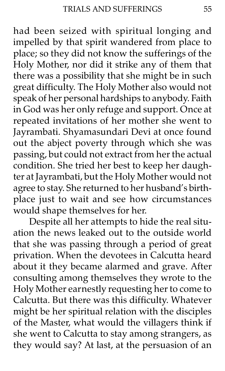had been seized with spiritual longing and impelled by that spirit wandered from place to place; so they did not know the sufferings of the Holy Mother, nor did it strike any of them that there was a possibility that she might be in such great difficulty. The Holy Mother also would not speak of her personal hardships to anybody. Faith in God was her only refuge and support. Once at repeated invitations of her mother she went to Jayrambati. Shyamasundari Devi at once found out the abject poverty through which she was passing, but could not extract from her the actual condition. She tried her best to keep her daughter at Jayrambati, but the Holy Mother would not agree to stay. She returned to her husband's birthplace just to wait and see how circumstances would shape themselves for her.

Despite all her attempts to hide the real situation the news leaked out to the outside world that she was passing through a period of great privation. When the devotees in Calcutta heard about it they became alarmed and grave. After consulting among themselves they wrote to the Holy Mother earnestly requesting her to come to Calcutta. But there was this difficulty. Whatever might be her spiritual relation with the disciples of the Master, what would the villagers think if she went to Calcutta to stay among strangers, as they would say? At last, at the persuasion of an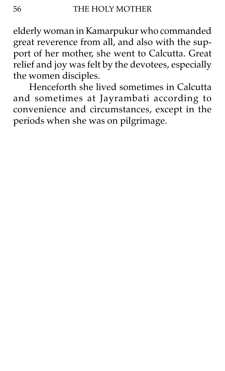elderly woman in Kamarpukur who commanded great reverence from all, and also with the support of her mother, she went to Calcutta. Great relief and joy was felt by the devotees, especially the women disciples.

Henceforth she lived sometimes in Calcutta and sometimes at Jayrambati according to convenience and circumstances, except in the periods when she was on pilgrimage.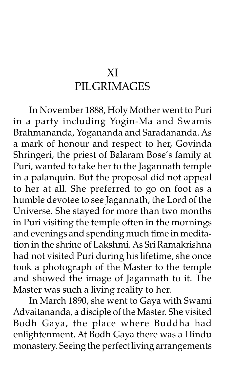## XI PILGRIMAGES

In November 1888, Holy Mother went to Puri in a party including Yogin-Ma and Swamis Brahmananda, Yogananda and Saradananda. As a mark of honour and respect to her, Govinda Shringeri, the priest of Balaram Bose's family at Puri, wanted to take her to the Jagannath temple in a palanquin. But the proposal did not appeal to her at all. She preferred to go on foot as a humble devotee to see Jagannath, the Lord of the Universe. She stayed for more than two months in Puri visiting the temple often in the mornings and evenings and spending much time in meditation in the shrine of Lakshmi. As Sri Ramakrishna had not visited Puri during his lifetime, she once took a photograph of the Master to the temple and showed the image of Jagannath to it. The Master was such a living reality to her.

In March 1890, she went to Gaya with Swami Advaitananda, a disciple of the Master. She visited Bodh Gaya, the place where Buddha had enlightenment. At Bodh Gaya there was a Hindu monastery. Seeing the perfect living arrangements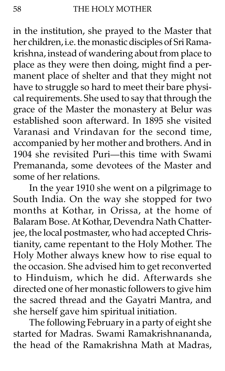in the institution, she prayed to the Master that her children, i.e. the monastic disciples of Sri Ramakrishna, instead of wandering about from place to place as they were then doing, might find a permanent place of shelter and that they might not have to struggle so hard to meet their bare physical requirements. She used to say that through the grace of the Master the monastery at Belur was established soon afterward. In 1895 she visited Varanasi and Vrindavan for the second time, accompanied by her mother and brothers. And in 1904 she revisited Puri-this time with Swami Premananda, some devotees of the Master and some of her relations.

In the year 1910 she went on a pilgrimage to South India. On the way she stopped for two months at Kothar, in Orissa, at the home of Balaram Bose. At Kothar, Devendra Nath Chatterjee, the local postmaster, who had accepted Christianity, came repentant to the Holy Mother. The Holy Mother always knew how to rise equal to the occasion. She advised him to get reconverted to Hinduism, which he did. Afterwards she directed one of her monastic followers to give him the sacred thread and the Gayatri Mantra, and she herself gave him spiritual initiation.

The following February in a party of eight she started for Madras. Swami Ramakrishnananda, the head of the Ramakrishna Math at Madras,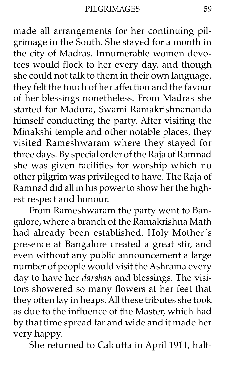PILGRIMAGES

made all arrangements for her continuing pilgrimage in the South. She stayed for a month in the city of Madras. Innumerable women devotees would flock to her every day, and though she could not talk to them in their own language, they felt the touch of her affection and the favour of her blessings nonetheless. From Madras she started for Madura, Swami Ramakrishnananda himself conducting the party. After visiting the Minakshi temple and other notable places, they visited Rameshwaram where they stayed for three days. By special order of the Raja of Ramnad she was given facilities for worship which no other pilgrim was privileged to have. The Raja of Ramnad did all in his power to show her the highest respect and honour.

From Rameshwaram the party went to Bangalore, where a branch of the Ramakrishna Math had already been established. Holy Mother's presence at Bangalore created a great stir, and even without any public announcement a large number of people would visit the Ashrama every day to have her *darshan* and blessings. The visitors showered so many flowers at her feet that they often lay in heaps. All these tributes she took as due to the influence of the Master, which had by that time spread far and wide and it made her very happy.

She returned to Calcutta in April 1911, halt-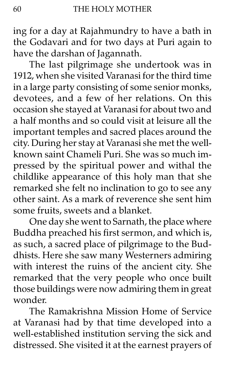ing for a day at Rajahmundry to have a bath in the Godavari and for two days at Puri again to have the darshan of Jagannath.

The last pilgrimage she undertook was in 1912, when she visited Varanasi for the third time in a large party consisting of some senior monks, devotees, and a few of her relations. On this occasion she stayed at Varanasi for about two and a half months and so could visit at leisure all the important temples and sacred places around the city. During her stay at Varanasi she met the wellknown saint Chameli Puri. She was so much impressed by the spiritual power and withal the childlike appearance of this holy man that she remarked she felt no inclination to go to see any other saint. As a mark of reverence she sent him some fruits, sweets and a blanket.

One day she went to Sarnath, the place where Buddha preached his first sermon, and which is, as such, a sacred place of pilgrimage to the Buddhists. Here she saw many Westerners admiring with interest the ruins of the ancient city. She remarked that the very people who once built those buildings were now admiring them in great wonder.

The Ramakrishna Mission Home of Service at Varanasi had by that time developed into a well-established institution serving the sick and distressed. She visited it at the earnest prayers of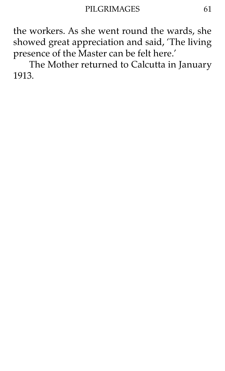the workers. As she went round the wards, she showed great appreciation and said, 'The living presence of the Master can be felt here.'

The Mother returned to Calcutta in January 1913.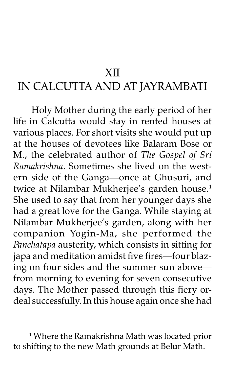#### XII

### IN CALCUTTA AND AT JAYRAMBATI

 Holy Mother during the early period of her life in Calcutta would stay in rented houses at various places. For short visits she would put up at the houses of devotees like Balaram Bose or M., the celebrated author of The Gospel of Sri Ramakrishna. Sometimes she lived on the western side of the Ganga-once at Ghusuri, and twice at Nilambar Mukherjee's garden house.<sup>1</sup> She used to say that from her younger days she had a great love for the Ganga. While staying at Nilambar Mukherjee's garden, along with her companion Yogin-Ma, she performed the Panchatapa austerity, which consists in sitting for japa and meditation amidst five fires-four blazing on four sides and the summer sun abovefrom morning to evening for seven consecutive days. The Mother passed through this fiery ordeal successfully. In this house again once she had

<sup>1</sup> Where the Ramakrishna Math was located prior to shifting to the new Math grounds at Belur Math.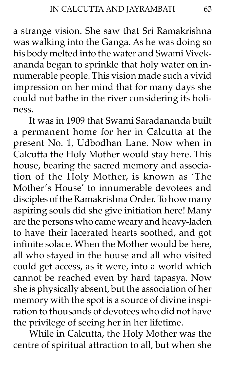a strange vision. She saw that Sri Ramakrishna was walking into the Ganga. As he was doing so his body melted into the water and Swami Vivekananda began to sprinkle that holy water on innumerable people. This vision made such a vivid impression on her mind that for many days she could not bathe in the river considering its holiness.

It was in 1909 that Swami Saradananda built a permanent home for her in Calcutta at the present No. 1, Udbodhan Lane. Now when in Calcutta the Holy Mother would stay here. This house, bearing the sacred memory and association of the Holy Mother, is known as 'The Mother's House' to innumerable devotees and disciples of the Ramakrishna Order. To how many aspiring souls did she give initiation here! Many are the persons who came weary and heavy-laden to have their lacerated hearts soothed, and got infinite solace. When the Mother would be here, all who stayed in the house and all who visited could get access, as it were, into a world which cannot be reached even by hard tapasya. Now she is physically absent, but the association of her memory with the spot is a source of divine inspiration to thousands of devotees who did not have the privilege of seeing her in her lifetime.

While in Calcutta, the Holy Mother was the centre of spiritual attraction to all, but when she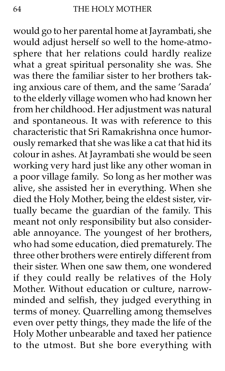would go to her parental home at Jayrambati, she would adjust herself so well to the home-atmosphere that her relations could hardly realize what a great spiritual personality she was. She was there the familiar sister to her brothers taking anxious care of them, and the same 'Sarada' to the elderly village women who had known her from her childhood. Her adjustment was natural and spontaneous. It was with reference to this characteristic that Sri Ramakrishna once humorously remarked that she was like a cat that hid its colour in ashes. At Jayrambati she would be seen working very hard just like any other woman in a poor village family. So long as her mother was alive, she assisted her in everything. When she died the Holy Mother, being the eldest sister, virtually became the guardian of the family. This meant not only responsibility but also considerable annoyance. The youngest of her brothers, who had some education, died prematurely. The three other brothers were entirely different from their sister. When one saw them, one wondered if they could really be relatives of the Holy Mother. Without education or culture, narrowminded and selfish, they judged everything in terms of money. Quarrelling among themselves even over petty things, they made the life of the Holy Mother unbearable and taxed her patience to the utmost. But she bore everything with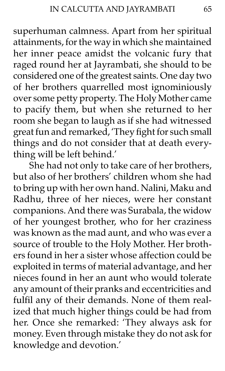superhuman calmness. Apart from her spiritual attainments, for the way in which she maintained her inner peace amidst the volcanic fury that raged round her at Jayrambati, she should to be considered one of the greatest saints. One day two of her brothers quarrelled most ignominiously over some petty property. The Holy Mother came to pacify them, but when she returned to her room she began to laugh as if she had witnessed great fun and remarked, 'They fight for such small things and do not consider that at death everything will be left behind.'

She had not only to take care of her brothers, but also of her brothers' children whom she had to bring up with her own hand. Nalini, Maku and Radhu, three of her nieces, were her constant companions. And there was Surabala, the widow of her youngest brother, who for her craziness was known as the mad aunt, and who was ever a source of trouble to the Holy Mother. Her brothers found in her a sister whose affection could be exploited in terms of material advantage, and her nieces found in her an aunt who would tolerate any amount of their pranks and eccentricities and fulfil any of their demands. None of them realized that much higher things could be had from her. Once she remarked: 'They always ask for money. Even through mistake they do not ask for knowledge and devotion.'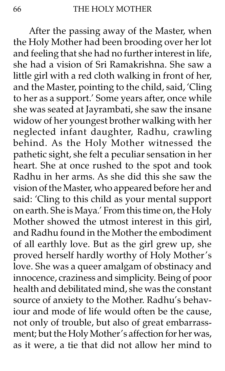After the passing away of the Master, when the Holy Mother had been brooding over her lot and feeling that she had no further interest in life, she had a vision of Sri Ramakrishna. She saw a little girl with a red cloth walking in front of her, and the Master, pointing to the child, said, 'Cling to her as a support.' Some years after, once while she was seated at Jayrambati, she saw the insane widow of her youngest brother walking with her neglected infant daughter, Radhu, crawling behind. As the Holy Mother witnessed the pathetic sight, she felt a peculiar sensation in her heart. She at once rushed to the spot and took Radhu in her arms. As she did this she saw the vision of the Master, who appeared before her and said: 'Cling to this child as your mental support on earth. She is Maya.' From this time on, the Holy Mother showed the utmost interest in this girl, and Radhu found in the Mother the embodiment of all earthly love. But as the girl grew up, she proved herself hardly worthy of Holy Mother's love. She was a queer amalgam of obstinacy and innocence, craziness and simplicity. Being of poor health and debilitated mind, she was the constant source of anxiety to the Mother. Radhu's behaviour and mode of life would often be the cause, not only of trouble, but also of great embarrassment; but the Holy Mother's affection for her was, as it were, a tie that did not allow her mind to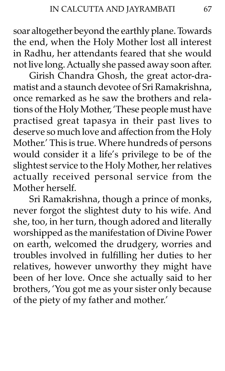soar altogether beyond the earthly plane. Towards the end, when the Holy Mother lost all interest in Radhu, her attendants feared that she would not live long. Actually she passed away soon after.

Girish Chandra Ghosh, the great actor-dramatist and a staunch devotee of Sri Ramakrishna, once remarked as he saw the brothers and relations of the Holy Mother, 'These people must have practised great tapasya in their past lives to deserve so much love and affection from the Holy Mother.' This is true. Where hundreds of persons would consider it a life's privilege to be of the slightest service to the Holy Mother, her relatives actually received personal service from the Mother herself.

Sri Ramakrishna, though a prince of monks, never forgot the slightest duty to his wife. And she, too, in her turn, though adored and literally worshipped as the manifestation of Divine Power on earth, welcomed the drudgery, worries and troubles involved in fulfilling her duties to her relatives, however unworthy they might have been of her love. Once she actually said to her brothers, 'You got me as your sister only because of the piety of my father and mother.'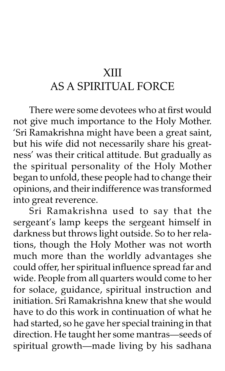# XIII AS A SPIRITUAL FORCE

There were some devotees who at first would not give much importance to the Holy Mother. 'Sri Ramakrishna might have been a great saint, but his wife did not necessarily share his greatnessí was their critical attitude. But gradually as the spiritual personality of the Holy Mother began to unfold, these people had to change their opinions, and their indifference was transformed into great reverence.

Sri Ramakrishna used to say that the sergeant's lamp keeps the sergeant himself in darkness but throws light outside. So to her relations, though the Holy Mother was not worth much more than the worldly advantages she could offer, her spiritual influence spread far and wide. People from all quarters would come to her for solace, guidance, spiritual instruction and initiation. Sri Ramakrishna knew that she would have to do this work in continuation of what he had started, so he gave her special training in that direction. He taught her some mantras-seeds of spiritual growth-made living by his sadhana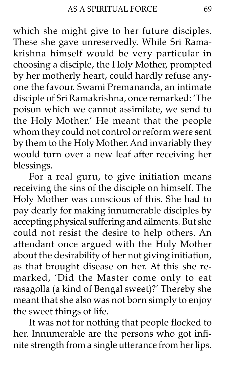which she might give to her future disciples. These she gave unreservedly. While Sri Ramakrishna himself would be very particular in choosing a disciple, the Holy Mother, prompted by her motherly heart, could hardly refuse anyone the favour. Swami Premananda, an intimate disciple of Sri Ramakrishna, once remarked: 'The poison which we cannot assimilate, we send to the Holy Mother.' He meant that the people whom they could not control or reform were sent by them to the Holy Mother. And invariably they would turn over a new leaf after receiving her blessings.

For a real guru, to give initiation means receiving the sins of the disciple on himself. The Holy Mother was conscious of this. She had to pay dearly for making innumerable disciples by accepting physical suffering and ailments. But she could not resist the desire to help others. An attendant once argued with the Holy Mother about the desirability of her not giving initiation, as that brought disease on her. At this she remarked, 'Did the Master come only to eat rasagolla (a kind of Bengal sweet)?' Thereby she meant that she also was not born simply to enjoy the sweet things of life.

It was not for nothing that people flocked to her. Innumerable are the persons who got infinite strength from a single utterance from her lips.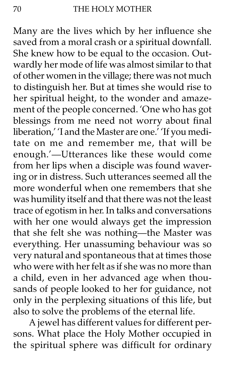Many are the lives which by her influence she saved from a moral crash or a spiritual downfall. She knew how to be equal to the occasion. Outwardly her mode of life was almost similar to that of other women in the village; there was not much to distinguish her. But at times she would rise to her spiritual height, to the wonder and amazement of the people concerned. 'One who has got blessings from me need not worry about final liberation,' 'I and the Master are one.' 'If you meditate on me and remember me, that will be enough.'-Utterances like these would come from her lips when a disciple was found wavering or in distress. Such utterances seemed all the more wonderful when one remembers that she was humility itself and that there was not the least trace of egotism in her. In talks and conversations with her one would always get the impression that she felt she was nothing-the Master was everything. Her unassuming behaviour was so very natural and spontaneous that at times those who were with her felt as if she was no more than a child, even in her advanced age when thousands of people looked to her for guidance, not only in the perplexing situations of this life, but also to solve the problems of the eternal life.

A jewel has different values for different persons. What place the Holy Mother occupied in the spiritual sphere was difficult for ordinary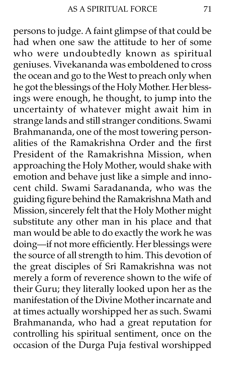persons to judge. A faint glimpse of that could be had when one saw the attitude to her of some who were undoubtedly known as spiritual geniuses. Vivekananda was emboldened to cross the ocean and go to the West to preach only when he got the blessings of the Holy Mother. Her blessings were enough, he thought, to jump into the uncertainty of whatever might await him in strange lands and still stranger conditions. Swami Brahmananda, one of the most towering personalities of the Ramakrishna Order and the first President of the Ramakrishna Mission, when approaching the Holy Mother, would shake with emotion and behave just like a simple and innocent child. Swami Saradananda, who was the guiding figure behind the Ramakrishna Math and Mission, sincerely felt that the Holy Mother might substitute any other man in his place and that man would be able to do exactly the work he was doing-if not more efficiently. Her blessings were the source of all strength to him. This devotion of the great disciples of Sri Ramakrishna was not merely a form of reverence shown to the wife of their Guru; they literally looked upon her as the manifestation of the Divine Mother incarnate and at times actually worshipped her as such. Swami Brahmananda, who had a great reputation for controlling his spiritual sentiment, once on the occasion of the Durga Puja festival worshipped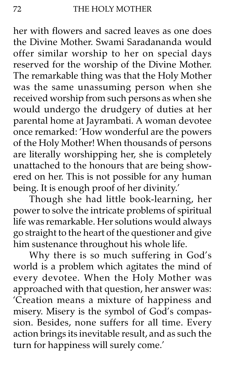her with flowers and sacred leaves as one does the Divine Mother. Swami Saradananda would offer similar worship to her on special days reserved for the worship of the Divine Mother. The remarkable thing was that the Holy Mother was the same unassuming person when she received worship from such persons as when she would undergo the drudgery of duties at her parental home at Jayrambati. A woman devotee once remarked: 'How wonderful are the powers of the Holy Mother! When thousands of persons are literally worshipping her, she is completely unattached to the honours that are being showered on her. This is not possible for any human being. It is enough proof of her divinity.'

Though she had little book-learning, her power to solve the intricate problems of spiritual life was remarkable. Her solutions would always go straight to the heart of the questioner and give him sustenance throughout his whole life.

Why there is so much suffering in God's world is a problem which agitates the mind of every devotee. When the Holy Mother was approached with that question, her answer was: ëCreation means a mixture of happiness and misery. Misery is the symbol of God's compassion. Besides, none suffers for all time. Every action brings its inevitable result, and as such the turn for happiness will surely come.'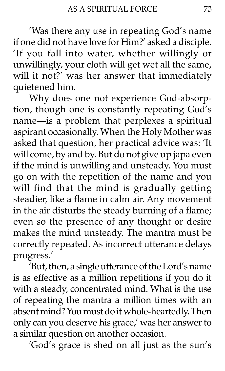'Was there any use in repeating God's name if one did not have love for Him?' asked a disciple. 'If you fall into water, whether willingly or unwillingly, your cloth will get wet all the same, will it not?' was her answer that immediately quietened him.

Why does one not experience God-absorption, though one is constantly repeating God's name-is a problem that perplexes a spiritual aspirant occasionally. When the Holy Mother was asked that question, her practical advice was: 'It will come, by and by. But do not give up japa even if the mind is unwilling and unsteady. You must go on with the repetition of the name and you will find that the mind is gradually getting steadier, like a flame in calm air. Any movement in the air disturbs the steady burning of a flame; even so the presence of any thought or desire makes the mind unsteady. The mantra must be correctly repeated. As incorrect utterance delays progress.'

'But, then, a single utterance of the Lord's name is as effective as a million repetitions if you do it with a steady, concentrated mind. What is the use of repeating the mantra a million times with an absent mind? You must do it whole-heartedly. Then only can you deserve his grace,' was her answer to a similar question on another occasion.

'God's grace is shed on all just as the sun's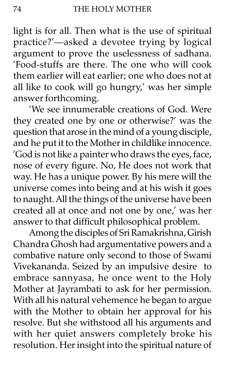light is for all. Then what is the use of spiritual practice?'—asked a devotee trying by logical argument to prove the uselessness of sadhana. ëFood-stuffs are there. The one who will cook them earlier will eat earlier; one who does not at all like to cook will go hungry,' was her simple answer forthcoming.

'We see innumerable creations of God. Were they created one by one or otherwise?' was the question that arose in the mind of a young disciple, and he put it to the Mother in childlike innocence. 'God is not like a painter who draws the eyes, face, nose of every figure. No, He does not work that way. He has a unique power. By his mere will the universe comes into being and at his wish it goes to naught. All the things of the universe have been created all at once and not one by one,' was her answer to that difficult philosophical problem.

Among the disciples of Sri Ramakrishna, Girish Chandra Ghosh had argumentative powers and a combative nature only second to those of Swami Vivekananda. Seized by an impulsive desire to embrace sannyasa, he once went to the Holy Mother at Jayrambati to ask for her permission. With all his natural vehemence he began to argue with the Mother to obtain her approval for his resolve. But she withstood all his arguments and with her quiet answers completely broke his resolution. Her insight into the spiritual nature of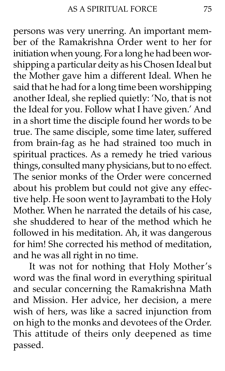persons was very unerring. An important member of the Ramakrishna Order went to her for initiation when young. For a long he had been worshipping a particular deity as his Chosen Ideal but the Mother gave him a different Ideal. When he said that he had for a long time been worshipping another Ideal, she replied quietly: 'No, that is not the Ideal for you. Follow what I have given.' And in a short time the disciple found her words to be true. The same disciple, some time later, suffered from brain-fag as he had strained too much in spiritual practices. As a remedy he tried various things, consulted many physicians, but to no effect. The senior monks of the Order were concerned about his problem but could not give any effective help. He soon went to Jayrambati to the Holy Mother. When he narrated the details of his case, she shuddered to hear of the method which he followed in his meditation. Ah, it was dangerous for him! She corrected his method of meditation, and he was all right in no time.

It was not for nothing that Holy Mother's word was the final word in everything spiritual and secular concerning the Ramakrishna Math and Mission. Her advice, her decision, a mere wish of hers, was like a sacred injunction from on high to the monks and devotees of the Order. This attitude of theirs only deepened as time passed.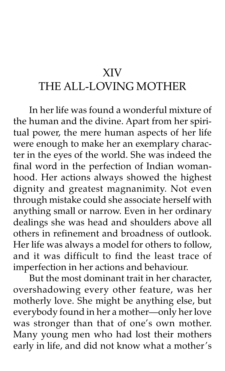## XIV

## THE ALL-LOVING MOTHER

In her life was found a wonderful mixture of the human and the divine. Apart from her spiritual power, the mere human aspects of her life were enough to make her an exemplary character in the eyes of the world. She was indeed the final word in the perfection of Indian womanhood. Her actions always showed the highest dignity and greatest magnanimity. Not even through mistake could she associate herself with anything small or narrow. Even in her ordinary dealings she was head and shoulders above all others in refinement and broadness of outlook. Her life was always a model for others to follow, and it was difficult to find the least trace of imperfection in her actions and behaviour.

But the most dominant trait in her character, overshadowing every other feature, was her motherly love. She might be anything else, but everybody found in her a mother-only her love was stronger than that of one's own mother. Many young men who had lost their mothers early in life, and did not know what a mother's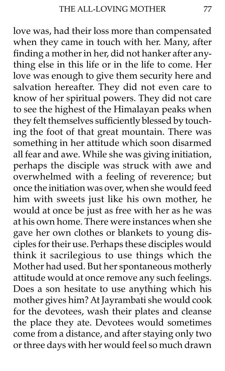love was, had their loss more than compensated when they came in touch with her. Many, after finding a mother in her, did not hanker after anything else in this life or in the life to come. Her love was enough to give them security here and salvation hereafter. They did not even care to know of her spiritual powers. They did not care to see the highest of the Himalayan peaks when they felt themselves sufficiently blessed by touching the foot of that great mountain. There was something in her attitude which soon disarmed all fear and awe. While she was giving initiation, perhaps the disciple was struck with awe and overwhelmed with a feeling of reverence; but once the initiation was over, when she would feed him with sweets just like his own mother, he would at once be just as free with her as he was at his own home. There were instances when she gave her own clothes or blankets to young disciples for their use. Perhaps these disciples would think it sacrilegious to use things which the Mother had used. But her spontaneous motherly attitude would at once remove any such feelings. Does a son hesitate to use anything which his mother gives him? At Jayrambati she would cook for the devotees, wash their plates and cleanse the place they ate. Devotees would sometimes come from a distance, and after staying only two or three days with her would feel so much drawn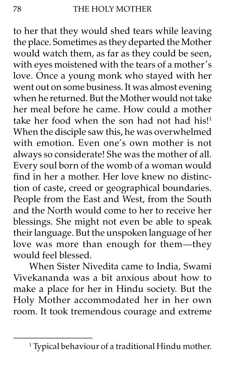to her that they would shed tears while leaving the place. Sometimes as they departed the Mother would watch them, as far as they could be seen, with eyes moistened with the tears of a mother's love. Once a young monk who stayed with her went out on some business. It was almost evening when he returned. But the Mother would not take her meal before he came. How could a mother take her food when the son had not had his!<sup>1</sup> When the disciple saw this, he was overwhelmed with emotion. Even one's own mother is not always so considerate! She was the mother of all. Every soul born of the womb of a woman would find in her a mother. Her love knew no distinction of caste, creed or geographical boundaries. People from the East and West, from the South and the North would come to her to receive her blessings. She might not even be able to speak their language. But the unspoken language of her love was more than enough for them-they would feel blessed.

When Sister Nivedita came to India, Swami Vivekananda was a bit anxious about how to make a place for her in Hindu society. But the Holy Mother accommodated her in her own room. It took tremendous courage and extreme

<sup>1</sup> Typical behaviour of a traditional Hindu mother.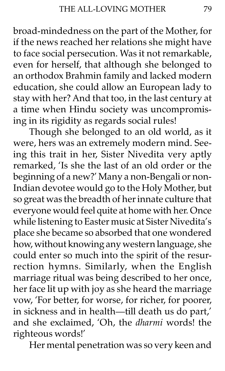broad-mindedness on the part of the Mother, for if the news reached her relations she might have to face social persecution. Was it not remarkable, even for herself, that although she belonged to an orthodox Brahmin family and lacked modern education, she could allow an European lady to stay with her? And that too, in the last century at a time when Hindu society was uncompromising in its rigidity as regards social rules!

Though she belonged to an old world, as it were, hers was an extremely modern mind. Seeing this trait in her, Sister Nivedita very aptly remarked, 'Is she the last of an old order or the beginning of a new?' Many a non-Bengali or non-Indian devotee would go to the Holy Mother, but so great was the breadth of her innate culture that everyone would feel quite at home with her. Once while listening to Easter music at Sister Nivedita's place she became so absorbed that one wondered how, without knowing any western language, she could enter so much into the spirit of the resurrection hymns. Similarly, when the English marriage ritual was being described to her once, her face lit up with joy as she heard the marriage vow, 'For better, for worse, for richer, for poorer, in sickness and in health-till death us do part,' and she exclaimed, 'Oh, the *dharmi* words! the righteous words!'

Her mental penetration was so very keen and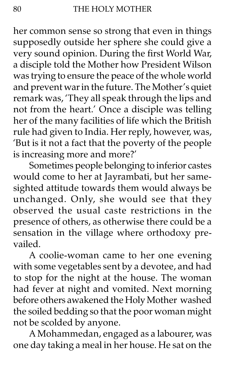her common sense so strong that even in things supposedly outside her sphere she could give a very sound opinion. During the first World War, a disciple told the Mother how President Wilson was trying to ensure the peace of the whole world and prevent war in the future. The Mother's quiet remark was, 'They all speak through the lips and not from the heart.' Once a disciple was telling her of the many facilities of life which the British rule had given to India. Her reply, however, was, 'But is it not a fact that the poverty of the people is increasing more and more?'

Sometimes people belonging to inferior castes would come to her at Jayrambati, but her samesighted attitude towards them would always be unchanged. Only, she would see that they observed the usual caste restrictions in the presence of others, as otherwise there could be a sensation in the village where orthodoxy prevailed.

A coolie-woman came to her one evening with some vegetables sent by a devotee, and had to stop for the night at the house. The woman had fever at night and vomited. Next morning before others awakened the Holy Mother washed the soiled bedding so that the poor woman might not be scolded by anyone.

A Mohammedan, engaged as a labourer, was one day taking a meal in her house. He sat on the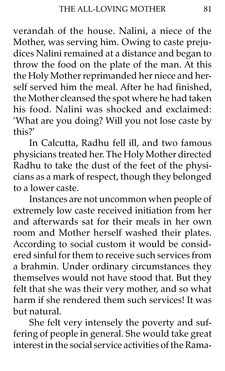verandah of the house. Nalini, a niece of the Mother, was serving him. Owing to caste prejudices Nalini remained at a distance and began to throw the food on the plate of the man. At this the Holy Mother reprimanded her niece and herself served him the meal. After he had finished, the Mother cleansed the spot where he had taken his food. Nalini was shocked and exclaimed: 'What are you doing? Will you not lose caste by this?í

In Calcutta, Radhu fell ill, and two famous physicians treated her. The Holy Mother directed Radhu to take the dust of the feet of the physicians as a mark of respect, though they belonged to a lower caste.

Instances are not uncommon when people of extremely low caste received initiation from her and afterwards sat for their meals in her own room and Mother herself washed their plates. According to social custom it would be considered sinful for them to receive such services from a brahmin. Under ordinary circumstances they themselves would not have stood that. But they felt that she was their very mother, and so what harm if she rendered them such services! It was but natural.

She felt very intensely the poverty and suffering of people in general. She would take great interest in the social service activities of the Rama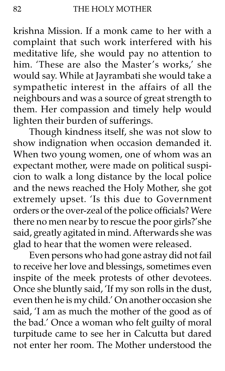krishna Mission. If a monk came to her with a complaint that such work interfered with his meditative life, she would pay no attention to him. 'These are also the Master's works,' she would say. While at Jayrambati she would take a sympathetic interest in the affairs of all the neighbours and was a source of great strength to them. Her compassion and timely help would lighten their burden of sufferings.

Though kindness itself, she was not slow to show indignation when occasion demanded it. When two young women, one of whom was an expectant mother, were made on political suspicion to walk a long distance by the local police and the news reached the Holy Mother, she got extremely upset. 'Is this due to Government orders or the over-zeal of the police officials? Were there no men near by to rescue the poor girls?'she said, greatly agitated in mind. Afterwards she was glad to hear that the women were released.

Even persons who had gone astray did not fail to receive her love and blessings, sometimes even inspite of the meek protests of other devotees. Once she bluntly said, 'If my son rolls in the dust, even then he is my child.' On another occasion she said, 'I am as much the mother of the good as of the bad.' Once a woman who felt guilty of moral turpitude came to see her in Calcutta but dared not enter her room. The Mother understood the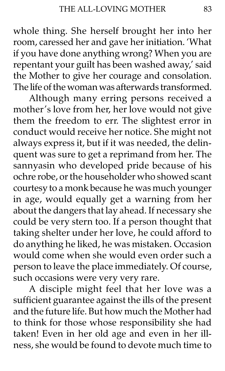whole thing. She herself brought her into her room, caressed her and gave her initiation. 'What if you have done anything wrong? When you are repentant your guilt has been washed away,' said the Mother to give her courage and consolation. The life of the woman was afterwards transformed.

Although many erring persons received a mother's love from her, her love would not give them the freedom to err. The slightest error in conduct would receive her notice. She might not always express it, but if it was needed, the delinquent was sure to get a reprimand from her. The sannyasin who developed pride because of his ochre robe, or the householder who showed scant courtesy to a monk because he was much younger in age, would equally get a warning from her about the dangers that lay ahead. If necessary she could be very stern too. If a person thought that taking shelter under her love, he could afford to do anything he liked, he was mistaken. Occasion would come when she would even order such a person to leave the place immediately. Of course, such occasions were very very rare.

A disciple might feel that her love was a sufficient guarantee against the ills of the present and the future life. But how much the Mother had to think for those whose responsibility she had taken! Even in her old age and even in her illness, she would be found to devote much time to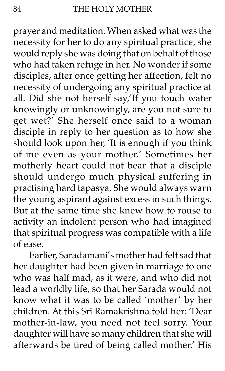prayer and meditation. When asked what was the necessity for her to do any spiritual practice, she would reply she was doing that on behalf of those who had taken refuge in her. No wonder if some disciples, after once getting her affection, felt no necessity of undergoing any spiritual practice at all. Did she not herself say,'If you touch water knowingly or unknowingly, are you not sure to get wet?' She herself once said to a woman disciple in reply to her question as to how she should look upon her, 'It is enough if you think of me even as your mother.' Sometimes her motherly heart could not bear that a disciple should undergo much physical suffering in practising hard tapasya. She would always warn the young aspirant against excess in such things. But at the same time she knew how to rouse to activity an indolent person who had imagined that spiritual progress was compatible with a life of ease.

Earlier, Saradamani's mother had felt sad that her daughter had been given in marriage to one who was half mad, as it were, and who did not lead a worldly life, so that her Sarada would not know what it was to be called 'mother' by her children. At this Sri Ramakrishna told her: 'Dear mother-in-law, you need not feel sorry. Your daughter will have so many children that she will afterwards be tired of being called mother.' His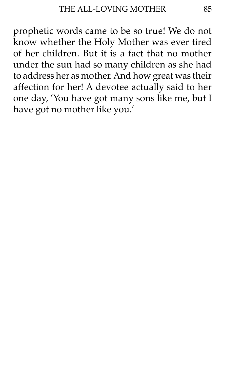prophetic words came to be so true! We do not know whether the Holy Mother was ever tired of her children. But it is a fact that no mother under the sun had so many children as she had to address her as mother. And how great was their affection for her! A devotee actually said to her one day, 'You have got many sons like me, but I have got no mother like you.'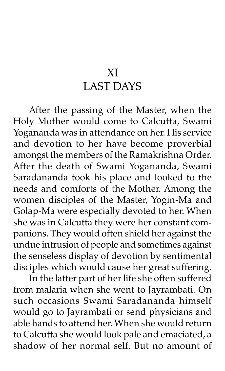## XI LAST DAYS

After the passing of the Master, when the Holy Mother would come to Calcutta, Swami Yogananda was in attendance on her. His service and devotion to her have become proverbial amongst the members of the Ramakrishna Order. After the death of Swami Yogananda, Swami Saradananda took his place and looked to the needs and comforts of the Mother. Among the women disciples of the Master, Yogin-Ma and Golap-Ma were especially devoted to her. When she was in Calcutta they were her constant companions. They would often shield her against the undue intrusion of people and sometimes against the senseless display of devotion by sentimental disciples which would cause her great suffering.

In the latter part of her life she often suffered from malaria when she went to Jayrambati. On such occasions Swami Saradananda himself would go to Jayrambati or send physicians and able hands to attend her. When she would return to Calcutta she would look pale and emaciated, a shadow of her normal self. But no amount of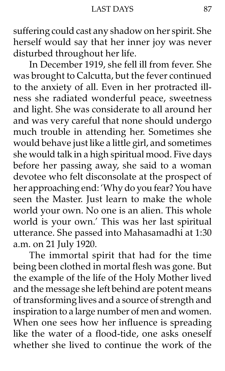suffering could cast any shadow on her spirit. She herself would say that her inner joy was never disturbed throughout her life.

In December 1919, she fell ill from fever. She was brought to Calcutta, but the fever continued to the anxiety of all. Even in her protracted illness she radiated wonderful peace, sweetness and light. She was considerate to all around her and was very careful that none should undergo much trouble in attending her. Sometimes she would behave just like a little girl, and sometimes she would talk in a high spiritual mood. Five days before her passing away, she said to a woman devotee who felt disconsolate at the prospect of her approaching end: 'Why do you fear? You have seen the Master. Just learn to make the whole world your own. No one is an alien. This whole world is your own.' This was her last spiritual utterance. She passed into Mahasamadhi at 1:30 a.m. on 21 July 1920.

The immortal spirit that had for the time being been clothed in mortal flesh was gone. But the example of the life of the Holy Mother lived and the message she left behind are potent means of transforming lives and a source of strength and inspiration to a large number of men and women. When one sees how her influence is spreading like the water of a flood-tide, one asks oneself whether she lived to continue the work of the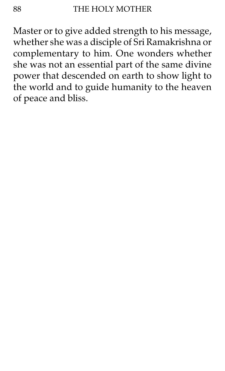Master or to give added strength to his message, whether she was a disciple of Sri Ramakrishna or complementary to him. One wonders whether she was not an essential part of the same divine power that descended on earth to show light to the world and to guide humanity to the heaven of peace and bliss.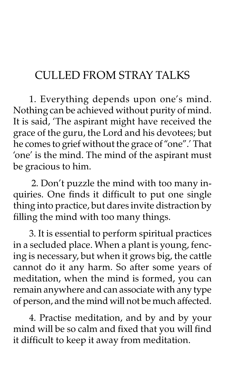## CULLED FROM STRAY TALKS

1. Everything depends upon one's mind. Nothing can be achieved without purity of mind. It is said, 'The aspirant might have received the grace of the guru, the Lord and his devotees; but he comes to grief without the grace of "one".' That 'one' is the mind. The mind of the aspirant must be gracious to him.

2. Don't puzzle the mind with too many inquiries. One finds it difficult to put one single thing into practice, but dares invite distraction by filling the mind with too many things.

3. It is essential to perform spiritual practices in a secluded place. When a plant is young, fencing is necessary, but when it grows big, the cattle cannot do it any harm. So after some years of meditation, when the mind is formed, you can remain anywhere and can associate with any type of person, and the mind will not be much affected.

4. Practise meditation, and by and by your mind will be so calm and fixed that you will find it difficult to keep it away from meditation.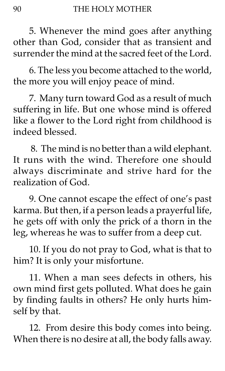5. Whenever the mind goes after anything other than God, consider that as transient and surrender the mind at the sacred feet of the Lord.

6. The less you become attached to the world, the more you will enjoy peace of mind.

7. Many turn toward God as a result of much suffering in life. But one whose mind is offered like a flower to the Lord right from childhood is indeed blessed.

 8. The mind is no better than a wild elephant. It runs with the wind. Therefore one should always discriminate and strive hard for the realization of God.

9. One cannot escape the effect of one's past karma. But then, if a person leads a prayerful life, he gets off with only the prick of a thorn in the leg, whereas he was to suffer from a deep cut.

10. If you do not pray to God, what is that to him? It is only your misfortune.

11. When a man sees defects in others, his own mind first gets polluted. What does he gain by finding faults in others? He only hurts himself by that.

12. From desire this body comes into being. When there is no desire at all, the body falls away.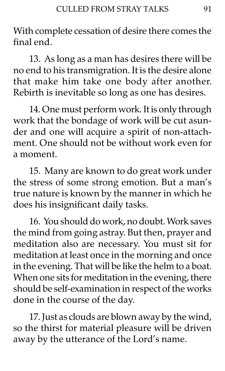With complete cessation of desire there comes the final end.

13. As long as a man has desires there will be no end to his transmigration. It is the desire alone that make him take one body after another. Rebirth is inevitable so long as one has desires.

14. One must perform work. It is only through work that the bondage of work will be cut asunder and one will acquire a spirit of non-attachment. One should not be without work even for a moment.

15. Many are known to do great work under the stress of some strong emotion. But a man's true nature is known by the manner in which he does his insignificant daily tasks.

16. You should do work, no doubt. Work saves the mind from going astray. But then, prayer and meditation also are necessary. You must sit for meditation at least once in the morning and once in the evening. That will be like the helm to a boat. When one sits for meditation in the evening, there should be self-examination in respect of the works done in the course of the day.

17. Just as clouds are blown away by the wind, so the thirst for material pleasure will be driven away by the utterance of the Lord's name.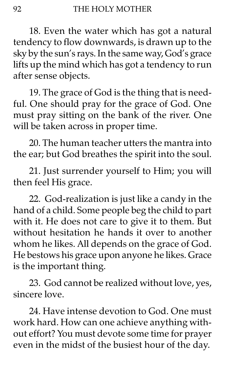18. Even the water which has got a natural tendency to flow downwards, is drawn up to the sky by the sun's rays. In the same way, God's grace lifts up the mind which has got a tendency to run after sense objects.

19. The grace of God is the thing that is needful. One should pray for the grace of God. One must pray sitting on the bank of the river. One will be taken across in proper time.

20. The human teacher utters the mantra into the ear; but God breathes the spirit into the soul.

21. Just surrender yourself to Him; you will then feel His grace.

22. God-realization is just like a candy in the hand of a child. Some people beg the child to part with it. He does not care to give it to them. But without hesitation he hands it over to another whom he likes. All depends on the grace of God. He bestows his grace upon anyone he likes. Grace is the important thing.

23. God cannot be realized without love, yes, sincere love.

24. Have intense devotion to God. One must work hard. How can one achieve anything without effort? You must devote some time for prayer even in the midst of the busiest hour of the day.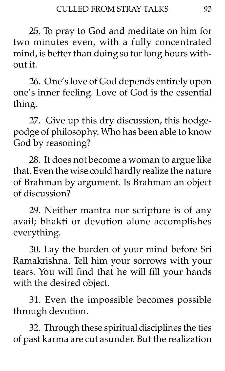25. To pray to God and meditate on him for two minutes even, with a fully concentrated mind, is better than doing so for long hours without it.

26. One's love of God depends entirely upon one's inner feeling. Love of God is the essential thing.

27. Give up this dry discussion, this hodgepodge of philosophy. Who has been able to know God by reasoning?

28. It does not become a woman to argue like that. Even the wise could hardly realize the nature of Brahman by argument. Is Brahman an object of discussion?

29. Neither mantra nor scripture is of any avail; bhakti or devotion alone accomplishes everything.

30. Lay the burden of your mind before Sri Ramakrishna. Tell him your sorrows with your tears. You will find that he will fill your hands with the desired object.

31. Even the impossible becomes possible through devotion.

32. Through these spiritual disciplines the ties of past karma are cut asunder. But the realization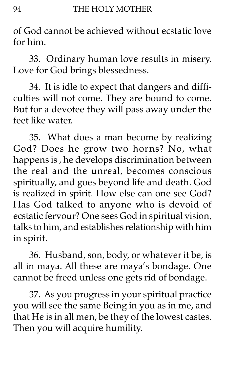of God cannot be achieved without ecstatic love for him.

33. Ordinary human love results in misery. Love for God brings blessedness.

34. It is idle to expect that dangers and difficulties will not come. They are bound to come. But for a devotee they will pass away under the feet like water.

35. What does a man become by realizing God? Does he grow two horns? No, what happens is , he develops discrimination between the real and the unreal, becomes conscious spiritually, and goes beyond life and death. God is realized in spirit. How else can one see God? Has God talked to anyone who is devoid of ecstatic fervour? One sees God in spiritual vision, talks to him, and establishes relationship with him in spirit.

36. Husband, son, body, or whatever it be, is all in maya. All these are maya's bondage. One cannot be freed unless one gets rid of bondage.

37. As you progress in your spiritual practice you will see the same Being in you as in me, and that He is in all men, be they of the lowest castes. Then you will acquire humility.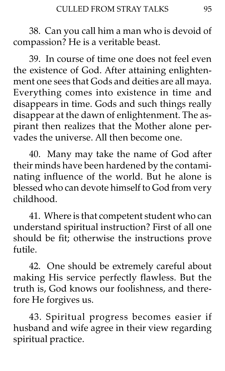38. Can you call him a man who is devoid of compassion? He is a veritable beast.

39. In course of time one does not feel even the existence of God. After attaining enlightenment one sees that Gods and deities are all maya. Everything comes into existence in time and disappears in time. Gods and such things really disappear at the dawn of enlightenment. The aspirant then realizes that the Mother alone pervades the universe. All then become one.

40. Many may take the name of God after their minds have been hardened by the contaminating influence of the world. But he alone is blessed who can devote himself to God from very childhood.

41. Where is that competent student who can understand spiritual instruction? First of all one should be fit; otherwise the instructions prove futile.

42. One should be extremely careful about making His service perfectly flawless. But the truth is, God knows our foolishness, and therefore He forgives us.

43. Spiritual progress becomes easier if husband and wife agree in their view regarding spiritual practice.